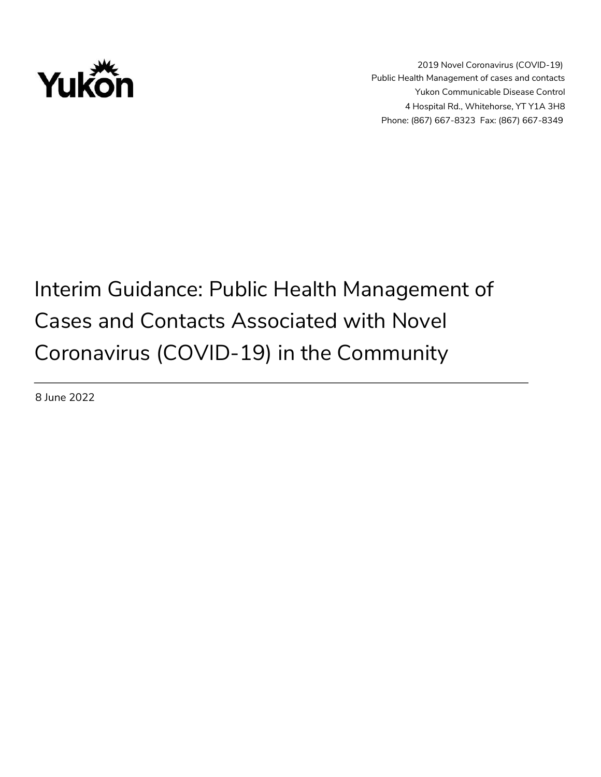

# Interim Guidance: Public Health Management of Cases and Contacts Associated with Novel Coronavirus (COVID-19) in the Community

8 June 2022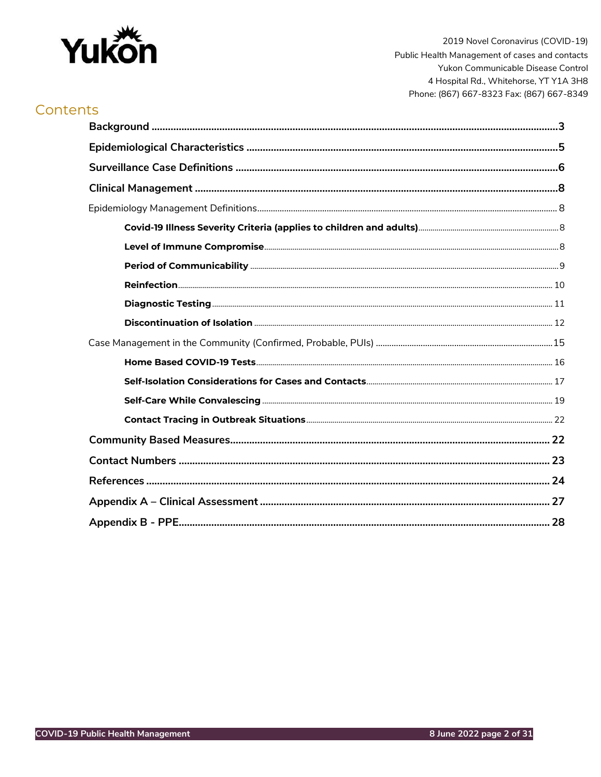

# Contents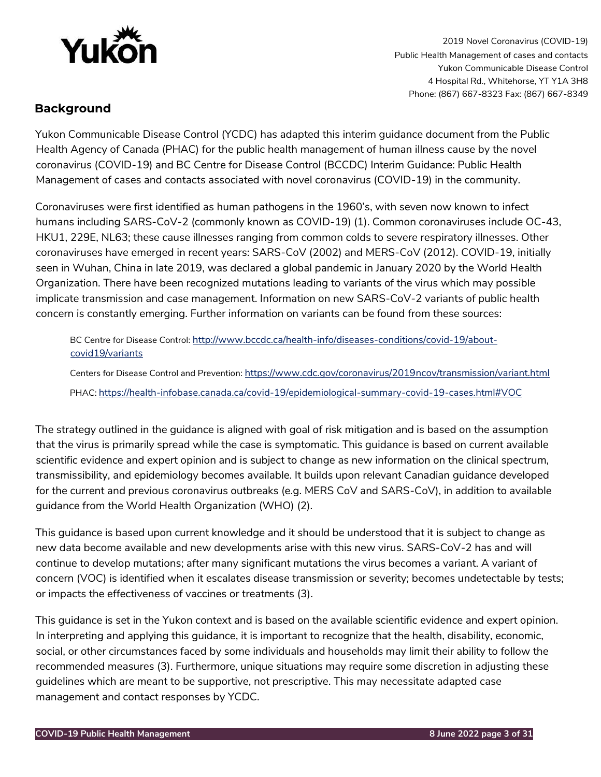

# <span id="page-2-0"></span>**Background**

Yukon Communicable Disease Control (YCDC) has adapted this interim guidance document from the Public Health Agency of Canada (PHAC) for the public health management of human illness cause by the novel coronavirus (COVID-19) and BC Centre for Disease Control (BCCDC) Interim Guidance: Public Health Management of cases and contacts associated with novel coronavirus (COVID-19) in the community.

Coronaviruses were first identified as human pathogens in the 1960's, with seven now known to infect humans including SARS-CoV-2 (commonly known as COVID-19) (1). Common coronaviruses include OC-43, HKU1, 229E, NL63; these cause illnesses ranging from common colds to severe respiratory illnesses. Other coronaviruses have emerged in recent years: SARS-CoV (2002) and MERS-CoV (2012). COVID-19, initially seen in Wuhan, China in late 2019, was declared a global pandemic in January 2020 by the World Health Organization. There have been recognized mutations leading to variants of the virus which may possible implicate transmission and case management. Information on new SARS-CoV-2 variants of public health concern is constantly emerging. Further information on variants can be found from these sources:

BC Centre for Disease Contro[l:](http://www.bccdc.ca/health-info/diseases-conditions/covid-19/about-covid-19/variants) [http://www.bccdc.ca/health-info/diseases-conditions/covid-19/about](http://www.bccdc.ca/health-info/diseases-conditions/covid-19/about-covid-19/variants)[covid19/variants](http://www.bccdc.ca/health-info/diseases-conditions/covid-19/about-covid-19/variants)

Centers for Disease Control and Preventio[n:](https://www.cdc.gov/coronavirus/2019-ncov/transmission/variant.html) [https://www.cdc.gov/coronavirus/2019ncov/transmission/variant.html](https://www.cdc.gov/coronavirus/2019-ncov/transmission/variant.html) PHA[C:](https://health-infobase.canada.ca/covid-19/epidemiological-summary-covid-19-cases.html#VOC) <https://health-infobase.canada.ca/covid-19/epidemiological-summary-covid-19-cases.html#VOC>

The strategy outlined in the guidance is aligned with goal of risk mitigation and is based on the assumption that the virus is primarily spread while the case is symptomatic. This guidance is based on current available scientific evidence and expert opinion and is subject to change as new information on the clinical spectrum, transmissibility, and epidemiology becomes available. It builds upon relevant Canadian guidance developed for the current and previous coronavirus outbreaks (e.g. MERS CoV and SARS-CoV), in addition to available guidance from the World Health Organization (WHO) (2).

This guidance is based upon current knowledge and it should be understood that it is subject to change as new data become available and new developments arise with this new virus. SARS-CoV-2 has and will continue to develop mutations; after many significant mutations the virus becomes a variant. A variant of concern (VOC) is identified when it escalates disease transmission or severity; becomes undetectable by tests; or impacts the effectiveness of vaccines or treatments (3).

This guidance is set in the Yukon context and is based on the available scientific evidence and expert opinion. In interpreting and applying this guidance, it is important to recognize that the health, disability, economic, social, or other circumstances faced by some individuals and households may limit their ability to follow the recommended measures (3). Furthermore, unique situations may require some discretion in adjusting these guidelines which are meant to be supportive, not prescriptive. This may necessitate adapted case management and contact responses by YCDC.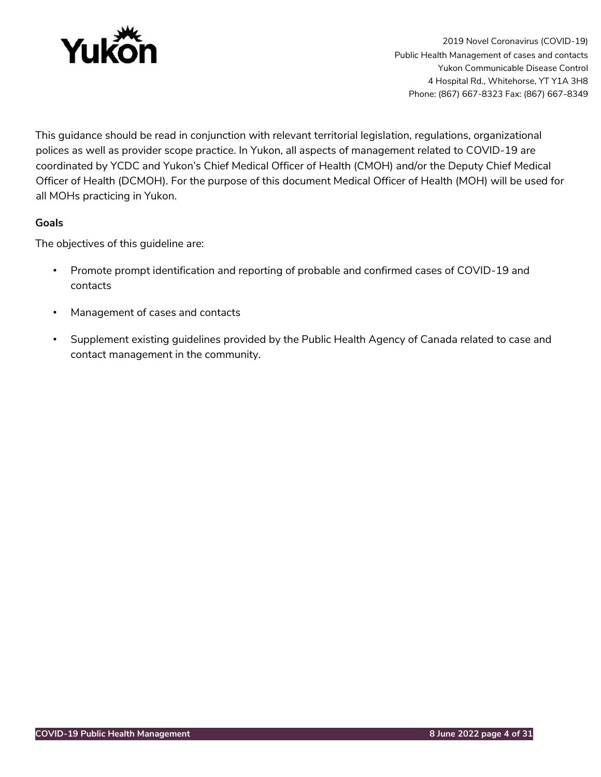

This guidance should be read in conjunction with relevant territorial legislation, regulations, organizational polices as well as provider scope practice. In Yukon, all aspects of management related to COVID-19 are coordinated by YCDC and Yukon's Chief Medical Officer of Health (CMOH) and/or the Deputy Chief Medical Officer of Health (DCMOH). For the purpose of this document Medical Officer of Health (MOH) will be used for all MOHs practicing in Yukon.

## **Goals**

The objectives of this guideline are:

- Promote prompt identification and reporting of probable and confirmed cases of COVID-19 and contacts
- Management of cases and contacts
- Supplement existing guidelines provided by the Public Health Agency of Canada related to case and contact management in the community.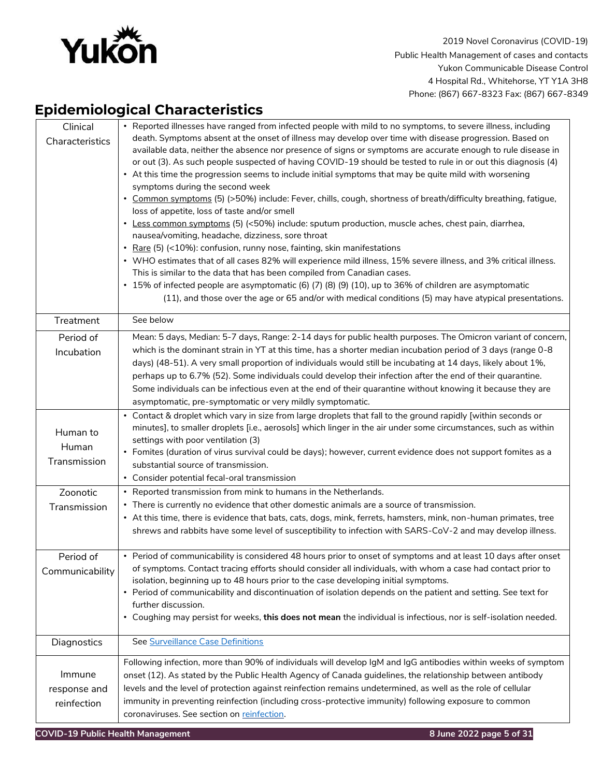

# <span id="page-4-0"></span>**Epidemiological Characteristics**

| Clinical<br>Characteristics                   | • Reported illnesses have ranged from infected people with mild to no symptoms, to severe illness, including<br>death. Symptoms absent at the onset of illness may develop over time with disease progression. Based on<br>available data, neither the absence nor presence of signs or symptoms are accurate enough to rule disease in<br>or out (3). As such people suspected of having COVID-19 should be tested to rule in or out this diagnosis (4)<br>• At this time the progression seems to include initial symptoms that may be quite mild with worsening<br>symptoms during the second week<br>· Common symptoms (5) (>50%) include: Fever, chills, cough, shortness of breath/difficulty breathing, fatigue,<br>loss of appetite, loss of taste and/or smell<br>• Less common symptoms (5) (<50%) include: sputum production, muscle aches, chest pain, diarrhea,<br>nausea/vomiting, headache, dizziness, sore throat<br>• Rare (5) (<10%): confusion, runny nose, fainting, skin manifestations<br>• WHO estimates that of all cases 82% will experience mild illness, 15% severe illness, and 3% critical illness.<br>This is similar to the data that has been compiled from Canadian cases.<br>• 15% of infected people are asymptomatic (6) (7) (8) (9) (10), up to 36% of children are asymptomatic<br>(11), and those over the age or 65 and/or with medical conditions (5) may have atypical presentations. |
|-----------------------------------------------|---------------------------------------------------------------------------------------------------------------------------------------------------------------------------------------------------------------------------------------------------------------------------------------------------------------------------------------------------------------------------------------------------------------------------------------------------------------------------------------------------------------------------------------------------------------------------------------------------------------------------------------------------------------------------------------------------------------------------------------------------------------------------------------------------------------------------------------------------------------------------------------------------------------------------------------------------------------------------------------------------------------------------------------------------------------------------------------------------------------------------------------------------------------------------------------------------------------------------------------------------------------------------------------------------------------------------------------------------------------------------------------------------------------------------------|
| Treatment                                     | See below                                                                                                                                                                                                                                                                                                                                                                                                                                                                                                                                                                                                                                                                                                                                                                                                                                                                                                                                                                                                                                                                                                                                                                                                                                                                                                                                                                                                                       |
| Period of<br>Incubation                       | Mean: 5 days, Median: 5-7 days, Range: 2-14 days for public health purposes. The Omicron variant of concern,<br>which is the dominant strain in YT at this time, has a shorter median incubation period of 3 days (range 0-8<br>days) (48-51). A very small proportion of individuals would still be incubating at 14 days, likely about 1%,<br>perhaps up to 6.7% (52). Some individuals could develop their infection after the end of their quarantine.<br>Some individuals can be infectious even at the end of their quarantine without knowing it because they are<br>asymptomatic, pre-symptomatic or very mildly symptomatic.                                                                                                                                                                                                                                                                                                                                                                                                                                                                                                                                                                                                                                                                                                                                                                                           |
| Human to<br>Human<br>Transmission<br>Zoonotic | • Contact & droplet which vary in size from large droplets that fall to the ground rapidly [within seconds or<br>minutes], to smaller droplets [i.e., aerosols] which linger in the air under some circumstances, such as within<br>settings with poor ventilation (3)<br>• Fomites (duration of virus survival could be days); however, current evidence does not support fomites as a<br>substantial source of transmission.<br>• Consider potential fecal-oral transmission<br>• Reported transmission from mink to humans in the Netherlands.                                                                                                                                                                                                                                                                                                                                                                                                                                                                                                                                                                                                                                                                                                                                                                                                                                                                               |
| Transmission                                  | • There is currently no evidence that other domestic animals are a source of transmission.<br>• At this time, there is evidence that bats, cats, dogs, mink, ferrets, hamsters, mink, non-human primates, tree<br>shrews and rabbits have some level of susceptibility to infection with SARS-CoV-2 and may develop illness.                                                                                                                                                                                                                                                                                                                                                                                                                                                                                                                                                                                                                                                                                                                                                                                                                                                                                                                                                                                                                                                                                                    |
| Period of<br>Communicability                  | • Period of communicability is considered 48 hours prior to onset of symptoms and at least 10 days after onset<br>of symptoms. Contact tracing efforts should consider all individuals, with whom a case had contact prior to<br>isolation, beginning up to 48 hours prior to the case developing initial symptoms.<br>• Period of communicability and discontinuation of isolation depends on the patient and setting. See text for<br>further discussion.<br>• Coughing may persist for weeks, this does not mean the individual is infectious, nor is self-isolation needed.                                                                                                                                                                                                                                                                                                                                                                                                                                                                                                                                                                                                                                                                                                                                                                                                                                                 |
| Diagnostics                                   | See Surveillance Case Definitions                                                                                                                                                                                                                                                                                                                                                                                                                                                                                                                                                                                                                                                                                                                                                                                                                                                                                                                                                                                                                                                                                                                                                                                                                                                                                                                                                                                               |
| Immune<br>response and<br>reinfection         | Following infection, more than 90% of individuals will develop IgM and IgG antibodies within weeks of symptom<br>onset (12). As stated by the Public Health Agency of Canada guidelines, the relationship between antibody<br>levels and the level of protection against reinfection remains undetermined, as well as the role of cellular<br>immunity in preventing reinfection (including cross-protective immunity) following exposure to common<br>coronaviruses. See section on reinfection.                                                                                                                                                                                                                                                                                                                                                                                                                                                                                                                                                                                                                                                                                                                                                                                                                                                                                                                               |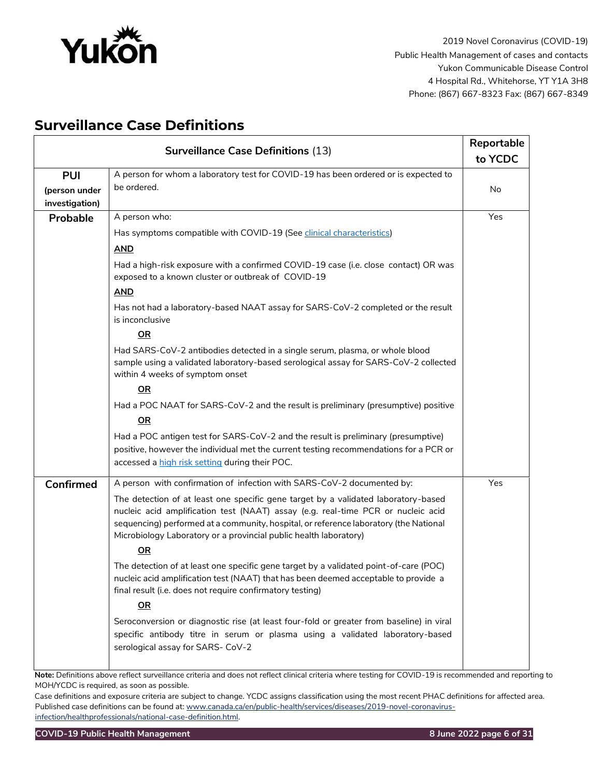

# <span id="page-5-0"></span>**Surveillance Case Definitions**

| <b>Surveillance Case Definitions (13)</b> |                                                                                                                                                                                                                                                                                                                                            | Reportable |
|-------------------------------------------|--------------------------------------------------------------------------------------------------------------------------------------------------------------------------------------------------------------------------------------------------------------------------------------------------------------------------------------------|------------|
|                                           |                                                                                                                                                                                                                                                                                                                                            | to YCDC    |
| <b>PUI</b>                                | A person for whom a laboratory test for COVID-19 has been ordered or is expected to                                                                                                                                                                                                                                                        |            |
| (person under                             | be ordered.                                                                                                                                                                                                                                                                                                                                | No         |
| investigation)                            |                                                                                                                                                                                                                                                                                                                                            |            |
| Probable                                  | A person who:                                                                                                                                                                                                                                                                                                                              | Yes        |
|                                           | Has symptoms compatible with COVID-19 (See <i>clinical characteristics</i> )                                                                                                                                                                                                                                                               |            |
|                                           | <b>AND</b>                                                                                                                                                                                                                                                                                                                                 |            |
|                                           | Had a high-risk exposure with a confirmed COVID-19 case (i.e. close contact) OR was<br>exposed to a known cluster or outbreak of COVID-19                                                                                                                                                                                                  |            |
|                                           | <b>AND</b>                                                                                                                                                                                                                                                                                                                                 |            |
|                                           | Has not had a laboratory-based NAAT assay for SARS-CoV-2 completed or the result<br>is inconclusive                                                                                                                                                                                                                                        |            |
|                                           | OR                                                                                                                                                                                                                                                                                                                                         |            |
|                                           | Had SARS-CoV-2 antibodies detected in a single serum, plasma, or whole blood<br>sample using a validated laboratory-based serological assay for SARS-CoV-2 collected<br>within 4 weeks of symptom onset                                                                                                                                    |            |
|                                           | 0R                                                                                                                                                                                                                                                                                                                                         |            |
|                                           | Had a POC NAAT for SARS-CoV-2 and the result is preliminary (presumptive) positive                                                                                                                                                                                                                                                         |            |
|                                           | OR                                                                                                                                                                                                                                                                                                                                         |            |
|                                           | Had a POC antigen test for SARS-CoV-2 and the result is preliminary (presumptive)                                                                                                                                                                                                                                                          |            |
|                                           | positive, however the individual met the current testing recommendations for a PCR or<br>accessed a high risk setting during their POC.                                                                                                                                                                                                    |            |
| <b>Confirmed</b>                          | A person with confirmation of infection with SARS-CoV-2 documented by:                                                                                                                                                                                                                                                                     | Yes        |
|                                           | The detection of at least one specific gene target by a validated laboratory-based<br>nucleic acid amplification test (NAAT) assay (e.g. real-time PCR or nucleic acid<br>sequencing) performed at a community, hospital, or reference laboratory (the National<br>Microbiology Laboratory or a provincial public health laboratory)<br>OR |            |
|                                           | The detection of at least one specific gene target by a validated point-of-care (POC)<br>nucleic acid amplification test (NAAT) that has been deemed acceptable to provide a<br>final result (i.e. does not require confirmatory testing)<br>$\overline{\mathsf{OR}}$                                                                      |            |
|                                           | Seroconversion or diagnostic rise (at least four-fold or greater from baseline) in viral<br>specific antibody titre in serum or plasma using a validated laboratory-based<br>serological assay for SARS- CoV-2                                                                                                                             |            |

**Note:** Definitions above reflect surveillance criteria and does not reflect clinical criteria where testing for COVID-19 is recommended and reporting to MOH/YCDC is required, as soon as possible.

Case definitions and exposure criteria are subject to change. YCDC assigns classification using the most recent PHAC definitions for affected area. Published case definitions can be found a[t: www.canada.ca/en/public-health/services/diseases/2019-novel-coronavirus](http://www.canada.ca/en/public-health/services/diseases/2019-novel-coronavirus-infection/health-professionals/national-case-definition.html)[infection/healthprofessionals/national-case-definition.html.](http://www.canada.ca/en/public-health/services/diseases/2019-novel-coronavirus-infection/health-professionals/national-case-definition.html)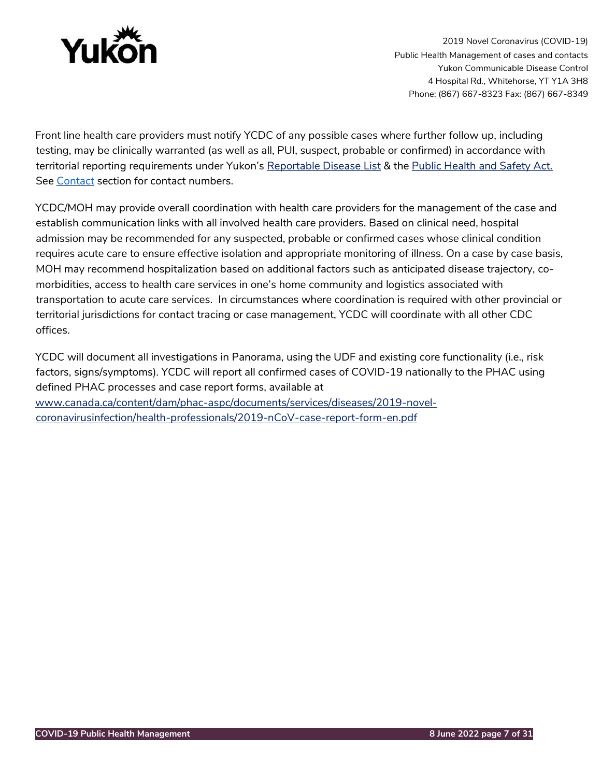

Front line health care providers must notify YCDC of any possible cases where further follow up, including testing, may be clinically warranted (as well as all, PUI, suspect, probable or confirmed) in accordance with territorial reporting requirements under Yukon's [Reportable Disease List](https://yukon.ca/sites/yukon.ca/files/hss/hss-imgs/comm_diseases_0.pdf) & the [Public Health and Safety Act.](https://legislation.yukon.ca/legislation/page_p.html) See [Contact](#page-22-0) section for contact numbers.

YCDC/MOH may provide overall coordination with health care providers for the management of the case and establish communication links with all involved health care providers. Based on clinical need, hospital admission may be recommended for any suspected, probable or confirmed cases whose clinical condition requires acute care to ensure effective isolation and appropriate monitoring of illness. On a case by case basis, MOH may recommend hospitalization based on additional factors such as anticipated disease trajectory, comorbidities, access to health care services in one's home community and logistics associated with transportation to acute care services. In circumstances where coordination is required with other provincial or territorial jurisdictions for contact tracing or case management, YCDC will coordinate with all other CDC offices.

YCDC will document all investigations in Panorama, using the UDF and existing core functionality (i.e., risk factors, signs/symptoms). YCDC will report all confirmed cases of COVID-19 nationally to the PHAC using defined PHAC processes and case report forms, available at [www.canada.ca/content/dam/phac-aspc/documents/services/diseases/2019-novel](http://www.canada.ca/content/dam/phac-aspc/documents/services/diseases/2019-novel-coronavirus-infection/health-professionals/2019-nCoV-case-report-form-en.pdf)[coronavirusinfection/health-professionals/2019-nCoV-case-report-form-en.pdf](http://www.canada.ca/content/dam/phac-aspc/documents/services/diseases/2019-novel-coronavirus-infection/health-professionals/2019-nCoV-case-report-form-en.pdf)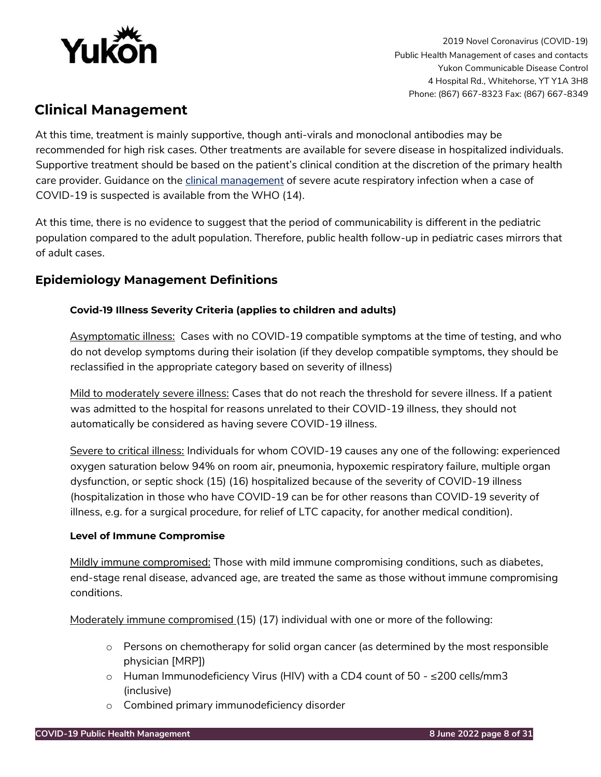

# <span id="page-7-0"></span>**Clinical Management**

At this time, treatment is mainly supportive, though anti-virals and monoclonal antibodies may be recommended for high risk cases. Other treatments are available for severe disease in hospitalized individuals. Supportive treatment should be based on the patient's clinical condition at the discretion of the primary health care provider. Guidance on the [clinical management](https://www.who.int/publications/i/item/WHO-2019-nCoV-therapeutics-2022.2) of severe acute respiratory infection when a case of COVID-19 is suspected is available from the WHO (14).

At this time, there is no evidence to suggest that the period of communicability is different in the pediatric population compared to the adult population. Therefore, public health follow-up in pediatric cases mirrors that of adult cases.

# <span id="page-7-2"></span><span id="page-7-1"></span>**Epidemiology Management Definitions**

# **Covid-19 Illness Severity Criteria (applies to children and adults)**

Asymptomatic illness: Cases with no COVID-19 compatible symptoms at the time of testing, and who do not develop symptoms during their isolation (if they develop compatible symptoms, they should be reclassified in the appropriate category based on severity of illness)

Mild to moderately severe illness: Cases that do not reach the threshold for severe illness. If a patient was admitted to the hospital for reasons unrelated to their COVID-19 illness, they should not automatically be considered as having severe COVID-19 illness.

Severe to critical illness: Individuals for whom COVID-19 causes any one of the following: experienced oxygen saturation below 94% on room air, pneumonia, hypoxemic respiratory failure, multiple organ dysfunction, or septic shock (15) (16) hospitalized because of the severity of COVID-19 illness (hospitalization in those who have COVID-19 can be for other reasons than COVID-19 severity of illness, e.g. for a surgical procedure, for relief of LTC capacity, for another medical condition).

# <span id="page-7-3"></span>**Level of Immune Compromise**

Mildly immune compromised: Those with mild immune compromising conditions, such as diabetes, end-stage renal disease, advanced age, are treated the same as those without immune compromising conditions.

Moderately immune compromised (15) (17) individual with one or more of the following:

- $\circ$  Persons on chemotherapy for solid organ cancer (as determined by the most responsible physician [MRP])
- $\circ$  Human Immunodeficiency Virus (HIV) with a CD4 count of 50 ≤200 cells/mm3 (inclusive)
- o Combined primary immunodeficiency disorder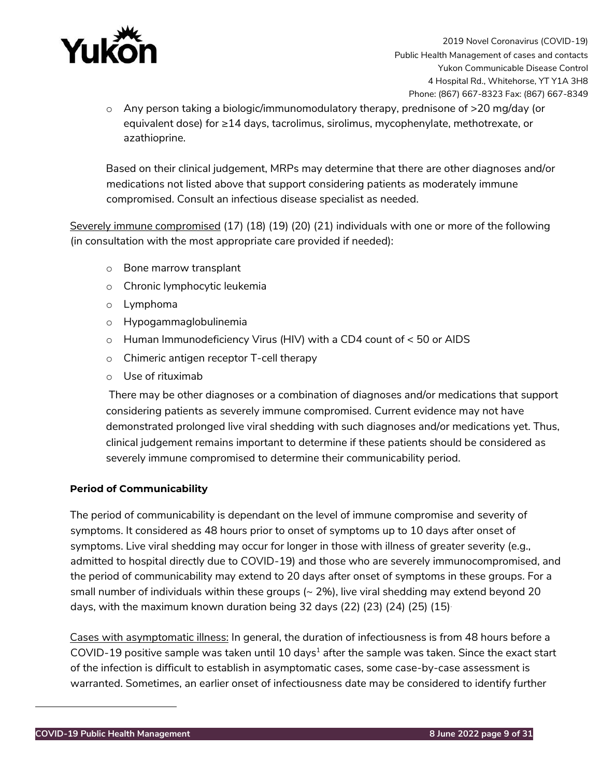

 $\circ$  Any person taking a biologic/immunomodulatory therapy, prednisone of  $>$ 20 mg/day (or equivalent dose) for ≥14 days, tacrolimus, sirolimus, mycophenylate, methotrexate, or azathioprine.

Based on their clinical judgement, MRPs may determine that there are other diagnoses and/or medications not listed above that support considering patients as moderately immune compromised. Consult an infectious disease specialist as needed.

Severely immune compromised (17) (18) (19) (20) (21) individuals with one or more of the following (in consultation with the most appropriate care provided if needed):

- o Bone marrow transplant
- o Chronic lymphocytic leukemia
- o Lymphoma
- o Hypogammaglobulinemia
- o Human Immunodeficiency Virus (HIV) with a CD4 count of < 50 or AIDS
- o Chimeric antigen receptor T-cell therapy
- o Use of rituximab

There may be other diagnoses or a combination of diagnoses and/or medications that support considering patients as severely immune compromised. Current evidence may not have demonstrated prolonged live viral shedding with such diagnoses and/or medications yet. Thus, clinical judgement remains important to determine if these patients should be considered as severely immune compromised to determine their communicability period.

# <span id="page-8-0"></span>**Period of Communicability**

The period of communicability is dependant on the level of immune compromise and severity of symptoms. It considered as 48 hours prior to onset of symptoms up to 10 days after onset of symptoms. Live viral shedding may occur for longer in those with illness of greater severity (e.g., admitted to hospital directly due to COVID-19) and those who are severely immunocompromised, and the period of communicability may extend to 20 days after onset of symptoms in these groups. For a small number of individuals within these groups  $($   $\sim$  2%), live viral shedding may extend beyond 20 days, with the maximum known duration being 32 days (22) (23) (24) (25) (15).

Cases with asymptomatic illness: In general, the duration of infectiousness is from 48 hours before a COVID-19 positive sample was taken until 10 days<sup>1</sup> after the sample was taken. Since the exact start of the infection is difficult to establish in asymptomatic cases, some case-by-case assessment is warranted. Sometimes, an earlier onset of infectiousness date may be considered to identify further

 $\overline{a}$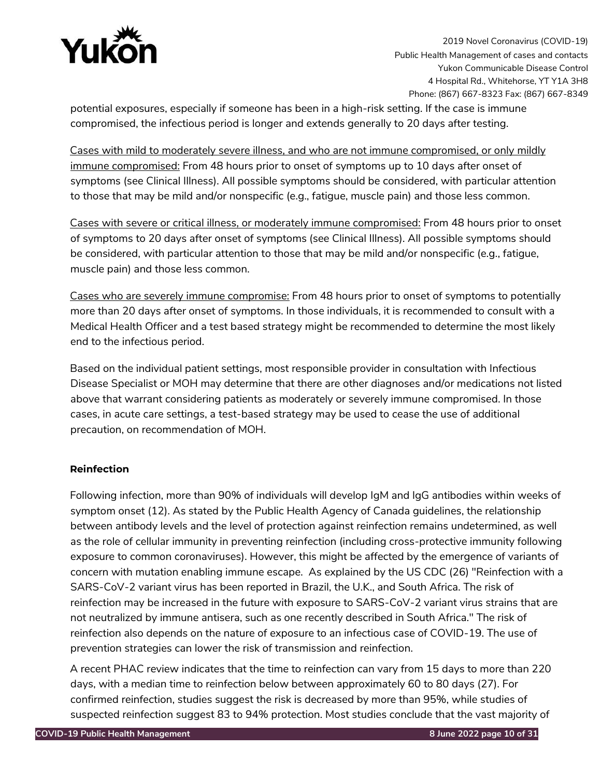

potential exposures, especially if someone has been in a high-risk setting. If the case is immune compromised, the infectious period is longer and extends generally to 20 days after testing.

Cases with mild to moderately severe illness, and who are not immune compromised, or only mildly immune compromised: From 48 hours prior to onset of symptoms up to 10 days after onset of symptoms (see Clinical Illness). All possible symptoms should be considered, with particular attention to those that may be mild and/or nonspecific (e.g., fatigue, muscle pain) and those less common.

Cases with severe or critical illness, or moderately immune compromised: From 48 hours prior to onset of symptoms to 20 days after onset of symptoms (see Clinical Illness). All possible symptoms should be considered, with particular attention to those that may be mild and/or nonspecific (e.g., fatigue, muscle pain) and those less common.

Cases who are severely immune compromise: From 48 hours prior to onset of symptoms to potentially more than 20 days after onset of symptoms. In those individuals, it is recommended to consult with a Medical Health Officer and a test based strategy might be recommended to determine the most likely end to the infectious period.

Based on the individual patient settings, most responsible provider in consultation with Infectious Disease Specialist or MOH may determine that there are other diagnoses and/or medications not listed above that warrant considering patients as moderately or severely immune compromised. In those cases, in acute care settings, a test-based strategy may be used to cease the use of additional precaution, on recommendation of MOH.

# <span id="page-9-0"></span>**Reinfection**

Following infection, more than 90% of individuals will develop IgM and IgG antibodies within weeks of symptom onset (12). As stated by the Public Health Agency of Canada guidelines, the relationship between antibody levels and the level of protection against reinfection remains undetermined, as well as the role of cellular immunity in preventing reinfection (including cross-protective immunity following exposure to common coronaviruses). However, this might be affected by the emergence of variants of concern with mutation enabling immune escape. As explained by the US CDC (26) "Reinfection with a SARS-CoV-2 variant virus has been reported in Brazil, the U.K., and South Africa. The risk of reinfection may be increased in the future with exposure to SARS-CoV-2 variant virus strains that are not neutralized by immune antisera, such as one recently described in South Africa." The risk of reinfection also depends on the nature of exposure to an infectious case of COVID-19. The use of prevention strategies can lower the risk of transmission and reinfection.

A recent PHAC review indicates that the time to reinfection can vary from 15 days to more than 220 days, with a median time to reinfection below between approximately 60 to 80 days (27). For confirmed reinfection, studies suggest the risk is decreased by more than 95%, while studies of suspected reinfection suggest 83 to 94% protection. Most studies conclude that the vast majority of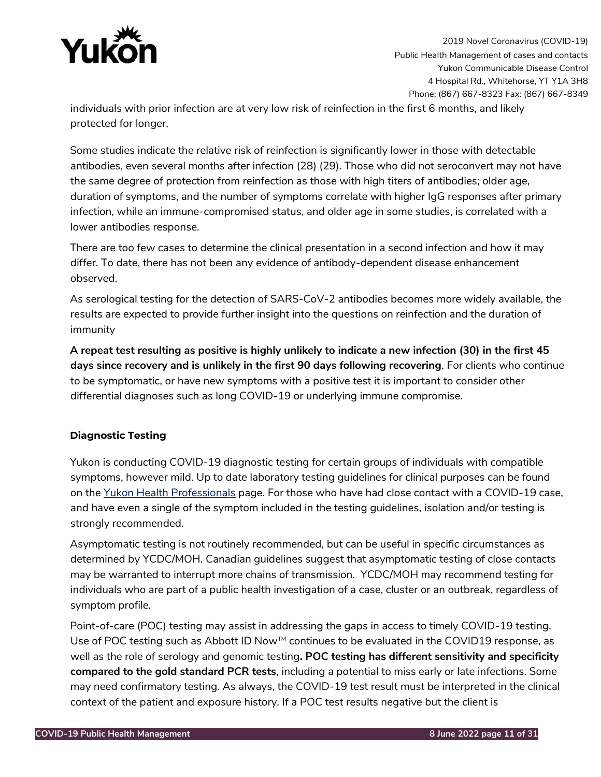

individuals with prior infection are at very low risk of reinfection in the first 6 months, and likely protected for longer.

Some studies indicate the relative risk of reinfection is significantly lower in those with detectable antibodies, even several months after infection (28) (29). Those who did not seroconvert may not have the same degree of protection from reinfection as those with high titers of antibodies; older age, duration of symptoms, and the number of symptoms correlate with higher IgG responses after primary infection, while an immune-compromised status, and older age in some studies, is correlated with a lower antibodies response.

There are too few cases to determine the clinical presentation in a second infection and how it may differ. To date, there has not been any evidence of antibody-dependent disease enhancement observed.

As serological testing for the detection of SARS-CoV-2 antibodies becomes more widely available, the results are expected to provide further insight into the questions on reinfection and the duration of immunity

**A repeat test resulting as positive is highly unlikely to indicate a new infection (30) in the first 45 days since recovery and is unlikely in the first 90 days following recovering**. For clients who continue to be symptomatic, or have new symptoms with a positive test it is important to consider other differential diagnoses such as long COVID-19 or underlying immune compromise.

# <span id="page-10-0"></span>**Diagnostic Testing**

Yukon is conducting COVID-19 diagnostic testing for certain groups of individuals with compatible symptoms, however mild. Up to date laboratory testing guidelines for clinical purposes can be found on the [Yukon Health Professionals](https://yukon.ca/en/health-and-wellness/health-concerns-diseases-and-conditions/find-information-health-professionals) [p](https://yukon.ca/en/health-and-wellness/health-concerns-diseases-and-conditions/find-information-health-professionals)age. For those who have had close contact with a COVID-19 case, and have even a single of the symptom included in the testing guidelines, isolation and/or testing is strongly recommended.

Asymptomatic testing is not routinely recommended, but can be useful in specific circumstances as determined by YCDC/MOH. Canadian guidelines suggest that asymptomatic testing of close contacts may be warranted to interrupt more chains of transmission. YCDC/MOH may recommend testing for individuals who are part of a public health investigation of a case, cluster or an outbreak, regardless of symptom profile.

Point-of-care (POC) testing may assist in addressing the gaps in access to timely COVID-19 testing. Use of POC testing such as Abbott ID Now $M$  continues to be evaluated in the COVID19 response, as well as the role of serology and genomic testing**. POC testing has different sensitivity and specificity compared to the gold standard PCR tests**, including a potential to miss early or late infections. Some may need confirmatory testing. As always, the COVID-19 test result must be interpreted in the clinical context of the patient and exposure history. If a POC test results negative but the client is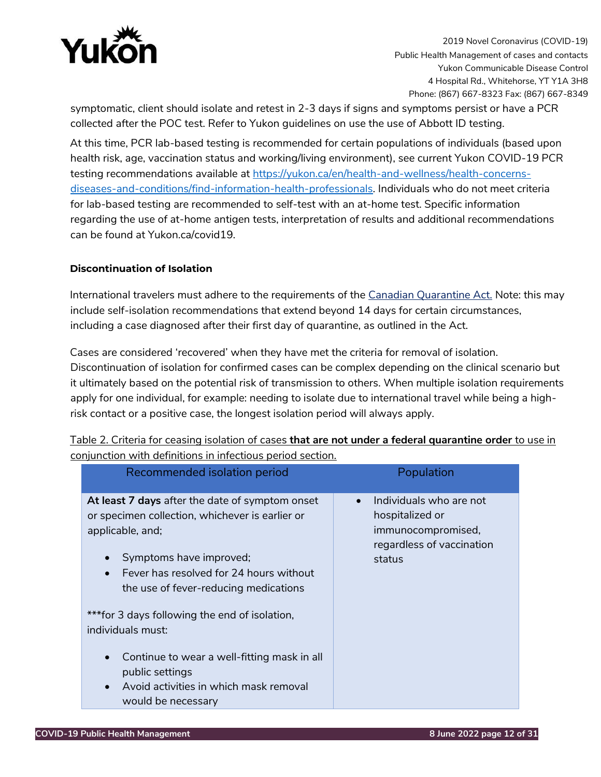

symptomatic, client should isolate and retest in 2-3 days if signs and symptoms persist or have a PCR collected after the POC test. Refer to Yukon guidelines on use the use of Abbott ID testing.

At this time, PCR lab-based testing is recommended for certain populations of individuals (based upon health risk, age, vaccination status and working/living environment), see current Yukon COVID-19 PCR testing recommendations available at [https://yukon.ca/en/health-and-wellness/health-concerns](https://yukon.ca/en/health-and-wellness/health-concerns-diseases-and-conditions/find-information-health-professionals)[diseases-and-conditions/find-information-health-professionals.](https://yukon.ca/en/health-and-wellness/health-concerns-diseases-and-conditions/find-information-health-professionals) Individuals who do not meet criteria for lab-based testing are recommended to self-test with an at-home test. Specific information regarding the use of at-home antigen tests, interpretation of results and additional recommendations can be found at Yukon.ca/covid19.

# <span id="page-11-0"></span>**Discontinuation of Isolation**

International travelers must adhere to the requirements of the [Canadian Quarantine Act.](https://orders-in-council.canada.ca/attachment.php?attach=39781&lang=en) Note: this may include self-isolation recommendations that extend beyond 14 days for certain circumstances, including a case diagnosed after their first day of quarantine, as outlined in the Act.

Cases are considered 'recovered' when they have met the criteria for removal of isolation. Discontinuation of isolation for confirmed cases can be complex depending on the clinical scenario but it ultimately based on the potential risk of transmission to others. When multiple isolation requirements apply for one individual, for example: needing to isolate due to international travel while being a highrisk contact or a positive case, the longest isolation period will always apply.

| At least 7 days after the date of symptom onset<br>$\bullet$<br>or specimen collection, whichever is earlier or<br>applicable, and;<br>Symptoms have improved;<br>Fever has resolved for 24 hours without<br>the use of fever-reducing medications<br>*** for 3 days following the end of isolation,<br>individuals must:<br>Continue to wear a well-fitting mask in all<br>$\bullet$<br>public settings<br>Avoid activities in which mask removal | Individuals who are not<br>hospitalized or<br>immunocompromised,<br>regardless of vaccination<br>status |
|----------------------------------------------------------------------------------------------------------------------------------------------------------------------------------------------------------------------------------------------------------------------------------------------------------------------------------------------------------------------------------------------------------------------------------------------------|---------------------------------------------------------------------------------------------------------|

Table 2. Criteria for ceasing isolation of cases **that are not under a federal quarantine order** to use in conjunction with definitions in infectious period section.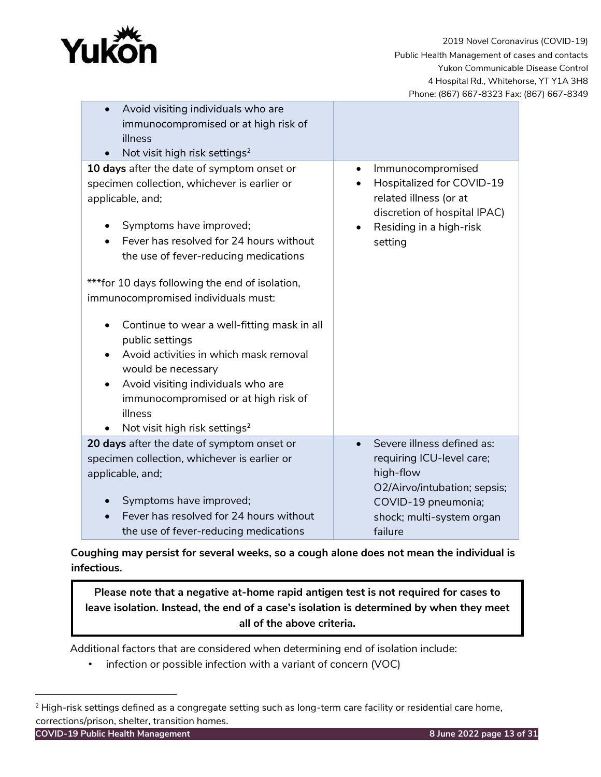

| Avoid visiting individuals who are                             |                                                        |  |  |
|----------------------------------------------------------------|--------------------------------------------------------|--|--|
| immunocompromised or at high risk of                           |                                                        |  |  |
| illness                                                        |                                                        |  |  |
| Not visit high risk settings <sup>2</sup><br>$\bullet$         |                                                        |  |  |
| 10 days after the date of symptom onset or                     | Immunocompromised<br>$\bullet$                         |  |  |
| specimen collection, whichever is earlier or                   | Hospitalized for COVID-19                              |  |  |
| applicable, and;                                               | related illness (or at<br>discretion of hospital IPAC) |  |  |
| Symptoms have improved;                                        | Residing in a high-risk<br>$\bullet$                   |  |  |
| Fever has resolved for 24 hours without<br>$\bullet$           | setting                                                |  |  |
| the use of fever-reducing medications                          |                                                        |  |  |
| ***for 10 days following the end of isolation,                 |                                                        |  |  |
| immunocompromised individuals must:                            |                                                        |  |  |
| Continue to wear a well-fitting mask in all<br>public settings |                                                        |  |  |
| Avoid activities in which mask removal                         |                                                        |  |  |
| would be necessary                                             |                                                        |  |  |
| Avoid visiting individuals who are                             |                                                        |  |  |
| immunocompromised or at high risk of                           |                                                        |  |  |
| illness                                                        |                                                        |  |  |
| Not visit high risk settings <sup>2</sup><br>$\bullet$         |                                                        |  |  |
| 20 days after the date of symptom onset or                     | Severe illness defined as:                             |  |  |
| specimen collection, whichever is earlier or                   | requiring ICU-level care;                              |  |  |
| applicable, and;                                               | high-flow                                              |  |  |
|                                                                | O2/Airvo/intubation; sepsis;                           |  |  |
| Symptoms have improved;                                        | COVID-19 pneumonia;                                    |  |  |
| Fever has resolved for 24 hours without                        | shock; multi-system organ                              |  |  |
| the use of fever-reducing medications                          | failure                                                |  |  |

**Coughing may persist for several weeks, so a cough alone does not mean the individual is infectious.** 

**Please note that a negative at-home rapid antigen test is not required for cases to leave isolation. Instead, the end of a case's isolation is determined by when they meet all of the above criteria.**

Additional factors that are considered when determining end of isolation include:

• infection or possible infection with a variant of concern (VOC)

 $\overline{a}$ 

<sup>&</sup>lt;sup>2</sup> High-risk settings defined as a congregate setting such as long-term care facility or residential care home, corrections/prison, shelter, transition homes.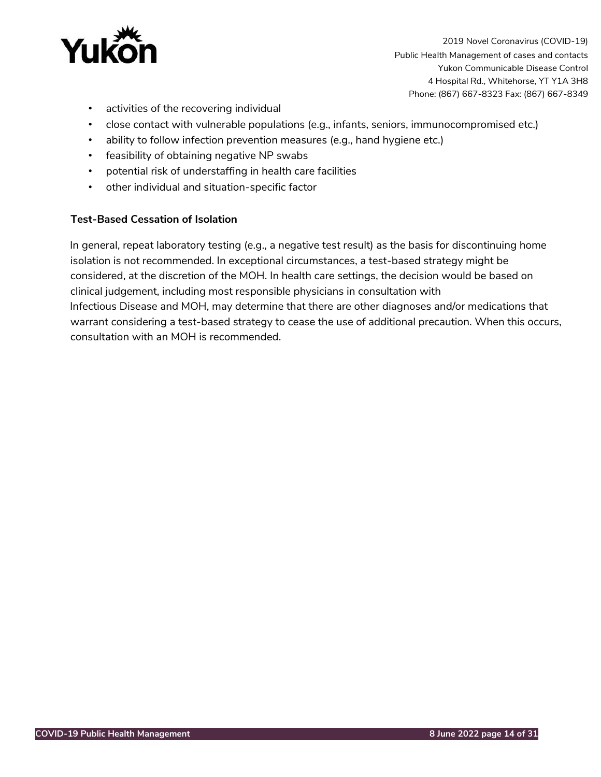

- activities of the recovering individual
- close contact with vulnerable populations (e.g., infants, seniors, immunocompromised etc.)
- ability to follow infection prevention measures (e.g., hand hygiene etc.)
- feasibility of obtaining negative NP swabs
- potential risk of understaffing in health care facilities
- other individual and situation-specific factor

# **Test-Based Cessation of Isolation**

In general, repeat laboratory testing (e.g., a negative test result) as the basis for discontinuing home isolation is not recommended. In exceptional circumstances, a test-based strategy might be considered, at the discretion of the MOH. In health care settings, the decision would be based on clinical judgement, including most responsible physicians in consultation with Infectious Disease and MOH, may determine that there are other diagnoses and/or medications that warrant considering a test-based strategy to cease the use of additional precaution. When this occurs, consultation with an MOH is recommended.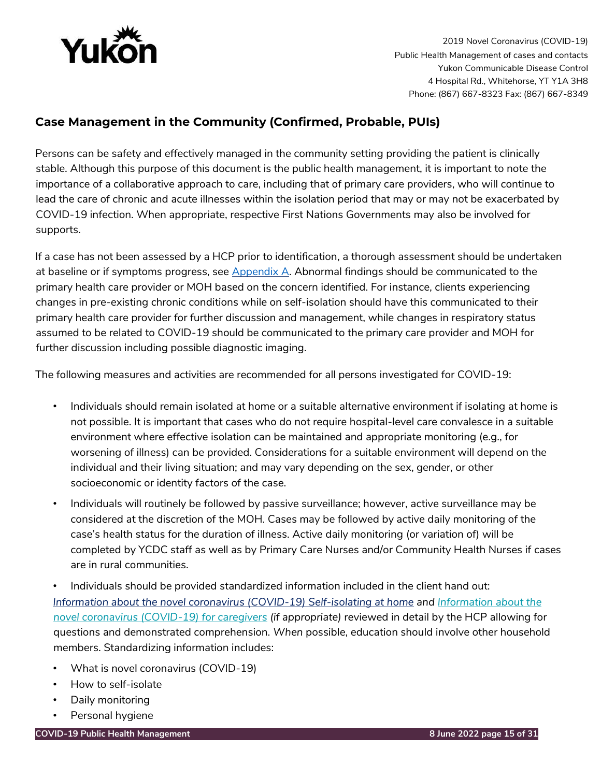

# <span id="page-14-0"></span>**Case Management in the Community (Confirmed, Probable, PUIs)**

Persons can be safety and effectively managed in the community setting providing the patient is clinically stable. Although this purpose of this document is the public health management, it is important to note the importance of a collaborative approach to care, including that of primary care providers, who will continue to lead the care of chronic and acute illnesses within the isolation period that may or may not be exacerbated by COVID-19 infection. When appropriate, respective First Nations Governments may also be involved for supports.

If a case has not been assessed by a HCP prior to identification, a thorough assessment should be undertaken at baseline or if symptoms progress, see  $\Delta$ ppendix  $\Delta$ . Abnormal findings should be communicated to the primary health care provider or MOH based on the concern identified. For instance, clients experiencing changes in pre-existing chronic conditions while on self-isolation should have this communicated to their primary health care provider for further discussion and management, while changes in respiratory status assumed to be related to COVID-19 should be communicated to the primary care provider and MOH for further discussion including possible diagnostic imaging.

The following measures and activities are recommended for all persons investigated for COVID-19:

- Individuals should remain isolated at home or a suitable alternative environment if isolating at home is not possible. It is important that cases who do not require hospital-level care convalesce in a suitable environment where effective isolation can be maintained and appropriate monitoring (e.g., for worsening of illness) can be provided. Considerations for a suitable environment will depend on the individual and their living situation; and may vary depending on the sex, gender, or other socioeconomic or identity factors of the case.
- Individuals will routinely be followed by passive surveillance; however, active surveillance may be considered at the discretion of the MOH. Cases may be followed by active daily monitoring of the case's health status for the duration of illness. Active daily monitoring (or variation of) will be completed by YCDC staff as well as by Primary Care Nurses and/or Community Health Nurses if cases are in rural communities.
- Individuals should be provided standardized information included in the client hand out: *[Information about the novel coronavirus \(COVID-19\) Self-isolating at home](https://yukon.ca/sites/yukon.ca/files/hss/hss-imgs/covid-19_patient_home_isolation-_information_about_covid-19_final_may_2021.pdf) and Information about the [novel coronavirus \(COVID-19\) for caregivers](https://yukon.ca/sites/yukon.ca/files/hss/hss-imgs/covid-19_patient_home_isolation_caregiver_feb_19_final.pdf) (if appropriate)* reviewed in detail by the HCP allowing for questions and demonstrated comprehension. *When* possible, education should involve other household members. Standardizing information includes:
- What is novel coronavirus (COVID-19)
- How to self-isolate
- Daily monitoring
- Personal hygiene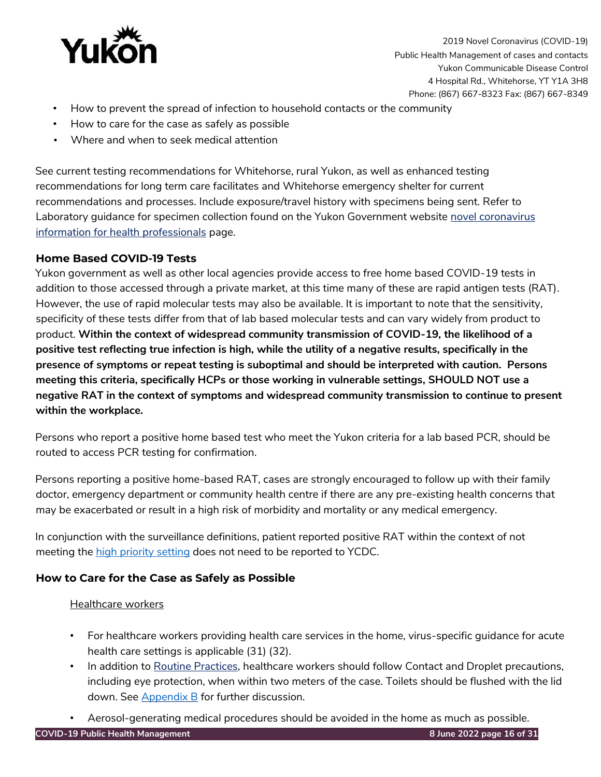

- How to prevent the spread of infection to household contacts or the community
- How to care for the case as safely as possible
- Where and when to seek medical attention

See current testing recommendations for Whitehorse, rural Yukon, as well as enhanced testing recommendations for long term care facilitates and Whitehorse emergency shelter for current recommendations and processes. Include exposure/travel history with specimens being sent. Refer to Laboratory guidance for specimen collection found on the Yukon Government website novel coronavirus [information for health professionals](https://yukon.ca/novel-coronavirus-hp) page.

# <span id="page-15-0"></span>**Home Based COVID-19 Tests**

Yukon government as well as other local agencies provide access to free home based COVID-19 tests in addition to those accessed through a private market, at this time many of these are rapid antigen tests (RAT). However, the use of rapid molecular tests may also be available. It is important to note that the sensitivity, specificity of these tests differ from that of lab based molecular tests and can vary widely from product to product. **Within the context of widespread community transmission of COVID-19, the likelihood of a positive test reflecting true infection is high, while the utility of a negative results, specifically in the presence of symptoms or repeat testing is suboptimal and should be interpreted with caution. Persons meeting this criteria, specifically HCPs or those working in vulnerable settings, SHOULD NOT use a negative RAT in the context of symptoms and widespread community transmission to continue to present within the workplace.**

Persons who report a positive home based test who meet the Yukon criteria for a lab based PCR, should be routed to access PCR testing for confirmation.

Persons reporting a positive home-based RAT, cases are strongly encouraged to follow up with their family doctor, emergency department or community health centre if there are any pre-existing health concerns that may be exacerbated or result in a high risk of morbidity and mortality or any medical emergency.

In conjunction with the surveillance definitions, patient reported positive RAT within the context of not meeting the [high priority setting](#page-19-0) does not need to be reported to YCDC.

# **How to Care for the Case as Safely as Possible**

# Healthcare workers

- For healthcare workers providing health care services in the home, virus-specific guidance for acute health care settings is applicable (31) (32).
- In addition to [Routine Practices,](https://www.canada.ca/en/public-health/services/publications/diseases-conditions/routine-practices-precautions-healthcare-associated-infections/part-b.html#B.III) healthcare workers should follow Contact and Droplet precautions, including eye protection, when within two meters of the case. Toilets should be flushed with the lid down. See [Appendix B](#page-26-1) for further discussion.
- Aerosol-generating medical procedures should be avoided in the home as much as possible.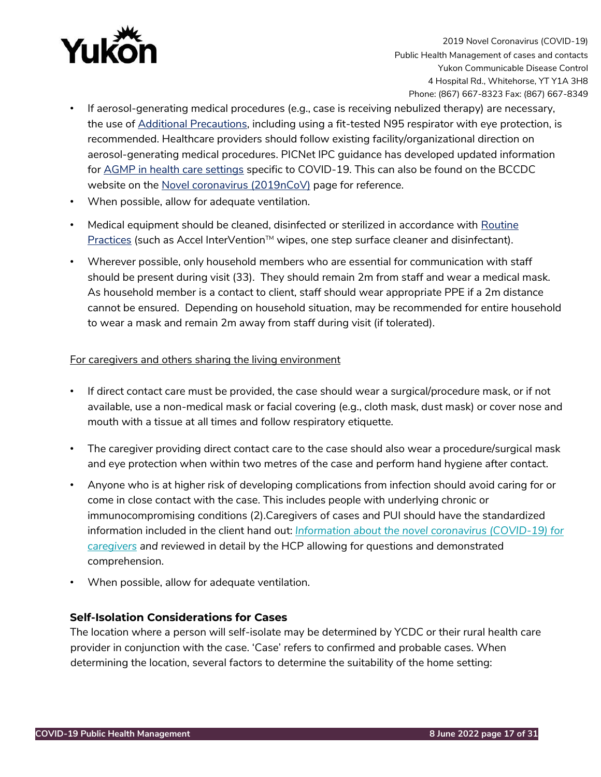

- If aerosol-generating medical procedures (e.g., case is receiving nebulized therapy) are necessary, the use of [Additional Precautions,](https://www.canada.ca/en/public-health/services/publications/diseases-conditions/routine-practices-precautions-healthcare-associated-infections.html) including using a fit-tested N95 respirator with eye protection, is recommended. Healthcare providers should follow existing facility/organizational direction on aerosol-generating medical procedures. PICNet IPC guidance has developed updated information for [AGMP in health care settings](http://www.bccdc.ca/Health-Professionals-Site/Documents/2019-nCoV_AGMP_PICNet.pdf) [s](http://www.bccdc.ca/Health-Professionals-Site/Documents/2019-nCoV_AGMP_PICNet.pdf)pecific to COVID-19. This can also be found on the BCCDC website on the [Novel coronavirus \(2019nCoV\)](http://www.bccdc.ca/health-professionals/clinical-resources/coronavirus-(novel)) page for reference.
- When possible, allow for adequate ventilation.
- Medical equipment should be cleaned, disinfected or sterilized in accordance with Routine [Practices](https://www.canada.ca/en/public-health/services/publications/diseases-conditions/routine-practices-precautions-healthcare-associated-infections/part-b.html#B.III) [\(](https://www.canada.ca/en/public-health/services/publications/diseases-conditions/routine-practices-precautions-healthcare-associated-infections/part-b.html#B.III)such as Accel InterVention™ wipes, one step surface cleaner and disinfectant).
- Wherever possible, only household members who are essential for communication with staff should be present during visit (33). They should remain 2m from staff and wear a medical mask. As household member is a contact to client, staff should wear appropriate PPE if a 2m distance cannot be ensured. Depending on household situation, may be recommended for entire household to wear a mask and remain 2m away from staff during visit (if tolerated).

## For caregivers and others sharing the living environment

- If direct contact care must be provided, the case should wear a surgical/procedure mask, or if not available, use a non-medical mask or facial covering (e.g., cloth mask, dust mask) or cover nose and mouth with a tissue at all times and follow respiratory etiquette.
- The caregiver providing direct contact care to the case should also wear a procedure/surgical mask and eye protection when within two metres of the case and perform hand hygiene after contact.
- Anyone who is at higher risk of developing complications from infection should avoid caring for or come in close contact with the case. This includes people with underlying chronic or immunocompromising conditions (2).Caregivers of cases and PUI should have the standardized information included in the client hand out: *[Information about the novel coronavirus \(COVID-19\) for](https://yukon.ca/sites/yukon.ca/files/hss/hss-imgs/covid-19_patient_home_isolation_caregiver_feb_19_final.pdf)  [caregivers](https://yukon.ca/sites/yukon.ca/files/hss/hss-imgs/covid-19_patient_home_isolation_caregiver_feb_19_final.pdf) and* reviewed in detail by the HCP allowing for questions and demonstrated comprehension.
- When possible, allow for adequate ventilation.

# <span id="page-16-0"></span>**Self-Isolation Considerations for Cases**

The location where a person will self-isolate may be determined by YCDC or their rural health care provider in conjunction with the case. 'Case' refers to confirmed and probable cases. When determining the location, several factors to determine the suitability of the home setting: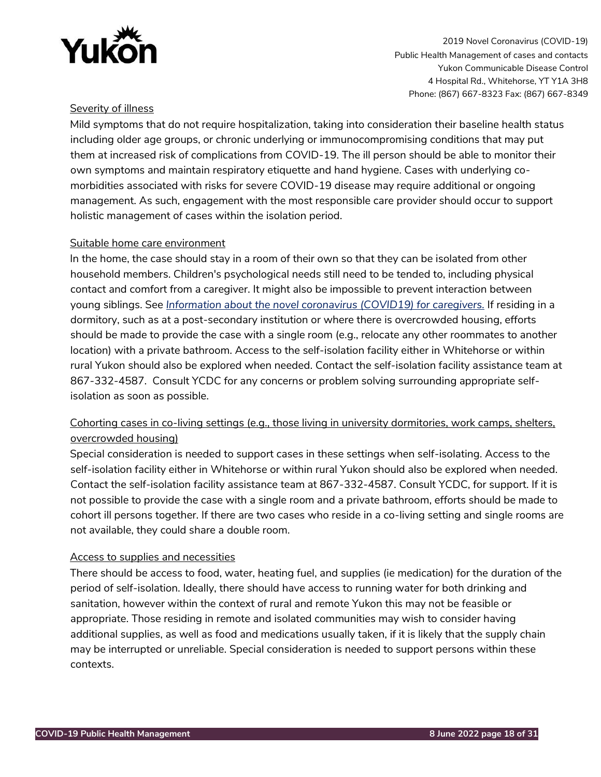

# Severity of illness

Mild symptoms that do not require hospitalization, taking into consideration their baseline health status including older age groups, or chronic underlying or immunocompromising conditions that may put them at increased risk of complications from COVID-19. The ill person should be able to monitor their own symptoms and maintain respiratory etiquette and hand hygiene. Cases with underlying comorbidities associated with risks for severe COVID-19 disease may require additional or ongoing management. As such, engagement with the most responsible care provider should occur to support holistic management of cases within the isolation period.

## Suitable home care environment

In the home, the case should stay in a room of their own so that they can be isolated from other household members. Children's psychological needs still need to be tended to, including physical contact and comfort from a caregiver. It might also be impossible to prevent interaction between young siblings. See *[Information about the novel coronavirus \(COVID19\) for caregivers.](https://yukon.ca/sites/yukon.ca/files/hss/hss-imgs/covid-19_patient_home_isolation_caregiver_feb_19_final.pdf)* If residing in a dormitory, such as at a post-secondary institution or where there is overcrowded housing, efforts should be made to provide the case with a single room (e.g., relocate any other roommates to another location) with a private bathroom. Access to the self-isolation facility either in Whitehorse or within rural Yukon should also be explored when needed. Contact the self-isolation facility assistance team at 867-332-4587. Consult YCDC for any concerns or problem solving surrounding appropriate selfisolation as soon as possible.

# Cohorting cases in co-living settings (e.g., those living in university dormitories, work camps, shelters, overcrowded housing)

Special consideration is needed to support cases in these settings when self-isolating. Access to the self-isolation facility either in Whitehorse or within rural Yukon should also be explored when needed. Contact the self-isolation facility assistance team at 867-332-4587. Consult YCDC, for support. If it is not possible to provide the case with a single room and a private bathroom, efforts should be made to cohort ill persons together. If there are two cases who reside in a co-living setting and single rooms are not available, they could share a double room.

# Access to supplies and necessities

There should be access to food, water, heating fuel, and supplies (ie medication) for the duration of the period of self-isolation. Ideally, there should have access to running water for both drinking and sanitation, however within the context of rural and remote Yukon this may not be feasible or appropriate. Those residing in remote and isolated communities may wish to consider having additional supplies, as well as food and medications usually taken, if it is likely that the supply chain may be interrupted or unreliable. Special consideration is needed to support persons within these contexts.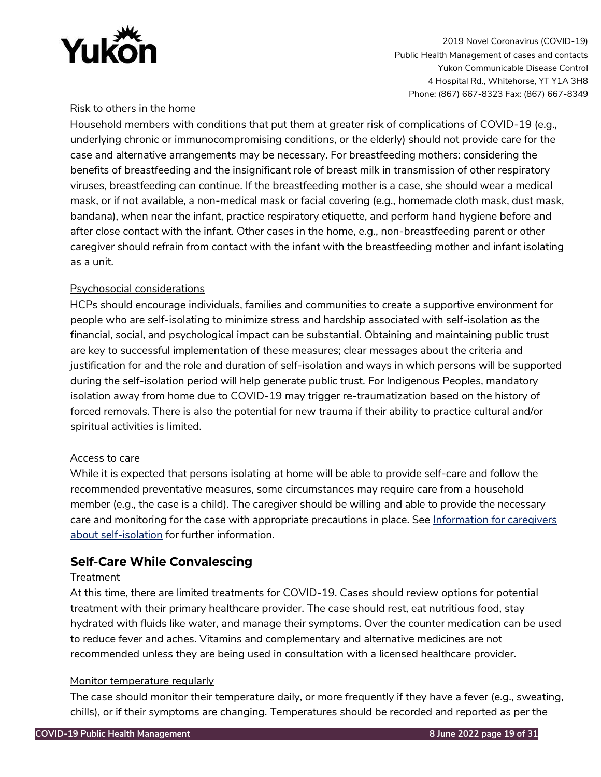

# Risk to others in the home

Household members with conditions that put them at greater risk of complications of COVID-19 (e.g., underlying chronic or immunocompromising conditions, or the elderly) should not provide care for the case and alternative arrangements may be necessary. For breastfeeding mothers: considering the benefits of breastfeeding and the insignificant role of breast milk in transmission of other respiratory viruses, breastfeeding can continue. If the breastfeeding mother is a case, she should wear a medical mask, or if not available, a non-medical mask or facial covering (e.g., homemade cloth mask, dust mask, bandana), when near the infant, practice respiratory etiquette, and perform hand hygiene before and after close contact with the infant. Other cases in the home, e.g., non-breastfeeding parent or other caregiver should refrain from contact with the infant with the breastfeeding mother and infant isolating as a unit.

## Psychosocial considerations

HCPs should encourage individuals, families and communities to create a supportive environment for people who are self-isolating to minimize stress and hardship associated with self-isolation as the financial, social, and psychological impact can be substantial. Obtaining and maintaining public trust are key to successful implementation of these measures; clear messages about the criteria and justification for and the role and duration of self-isolation and ways in which persons will be supported during the self-isolation period will help generate public trust. For Indigenous Peoples, mandatory isolation away from home due to COVID-19 may trigger re-traumatization based on the history of forced removals. There is also the potential for new trauma if their ability to practice cultural and/or spiritual activities is limited.

#### Access to care

While it is expected that persons isolating at home will be able to provide self-care and follow the recommended preventative measures, some circumstances may require care from a household member (e.g., the case is a child). The caregiver should be willing and able to provide the necessary care and monitoring for the case with appropriate precautions in place. See [Information for caregivers](https://yukon.ca/sites/yukon.ca/files/hss/hss-imgs/covid-19_patient_home_isolation_caregiver_feb_19_final.pdf)  [about self-isolation](https://yukon.ca/sites/yukon.ca/files/hss/hss-imgs/covid-19_patient_home_isolation_caregiver_feb_19_final.pdf) for further information.

# <span id="page-18-0"></span>**Self-Care While Convalescing**

#### **Treatment**

At this time, there are limited treatments for COVID-19. Cases should review options for potential treatment with their primary healthcare provider. The case should rest, eat nutritious food, stay hydrated with fluids like water, and manage their symptoms. Over the counter medication can be used to reduce fever and aches. Vitamins and complementary and alternative medicines are not recommended unless they are being used in consultation with a licensed healthcare provider.

#### Monitor temperature regularly

The case should monitor their temperature daily, or more frequently if they have a fever (e.g., sweating, chills), or if their symptoms are changing. Temperatures should be recorded and reported as per the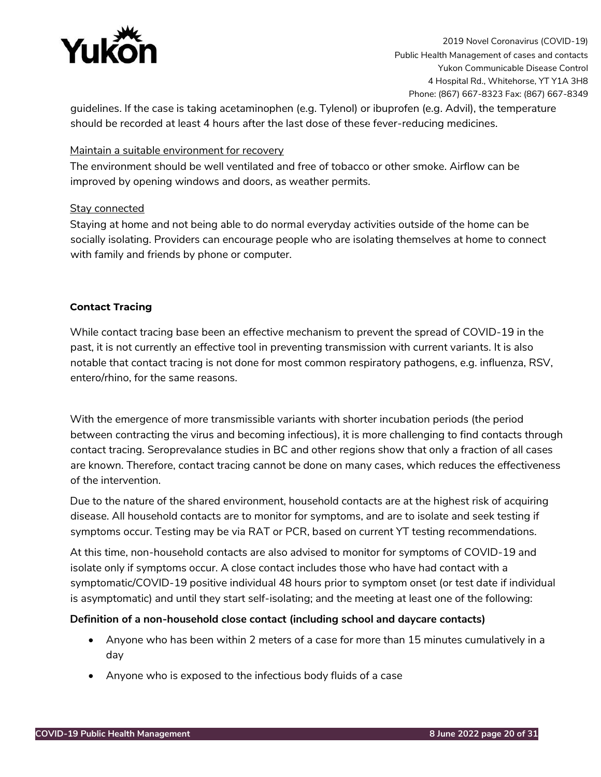

guidelines. If the case is taking acetaminophen (e.g. Tylenol) or ibuprofen (e.g. Advil), the temperature should be recorded at least 4 hours after the last dose of these fever-reducing medicines.

## Maintain a suitable environment for recovery

The environment should be well ventilated and free of tobacco or other smoke. Airflow can be improved by opening windows and doors, as weather permits.

## Stay connected

Staying at home and not being able to do normal everyday activities outside of the home can be socially isolating. Providers can encourage people who are isolating themselves at home to connect with family and friends by phone or computer.

## <span id="page-19-0"></span>**Contact Tracing**

While contact tracing base been an effective mechanism to prevent the spread of COVID-19 in the past, it is not currently an effective tool in preventing transmission with current variants. It is also notable that contact tracing is not done for most common respiratory pathogens, e.g. influenza, RSV, entero/rhino, for the same reasons.

With the emergence of more transmissible variants with shorter incubation periods (the period between contracting the virus and becoming infectious), it is more challenging to find contacts through contact tracing. Seroprevalance studies in BC and other regions show that only a fraction of all cases are known. Therefore, contact tracing cannot be done on many cases, which reduces the effectiveness of the intervention.

Due to the nature of the shared environment, household contacts are at the highest risk of acquiring disease. All household contacts are to monitor for symptoms, and are to isolate and seek testing if symptoms occur. Testing may be via RAT or PCR, based on current YT testing recommendations.

At this time, non-household contacts are also advised to monitor for symptoms of COVID-19 and isolate only if symptoms occur. A close contact includes those who have had contact with a symptomatic/COVID-19 positive individual 48 hours prior to symptom onset (or test date if individual is asymptomatic) and until they start self-isolating; and the meeting at least one of the following:

#### **Definition of a non-household close contact (including school and daycare contacts)**

- Anyone who has been within 2 meters of a case for more than 15 minutes cumulatively in a day
- Anyone who is exposed to the infectious body fluids of a case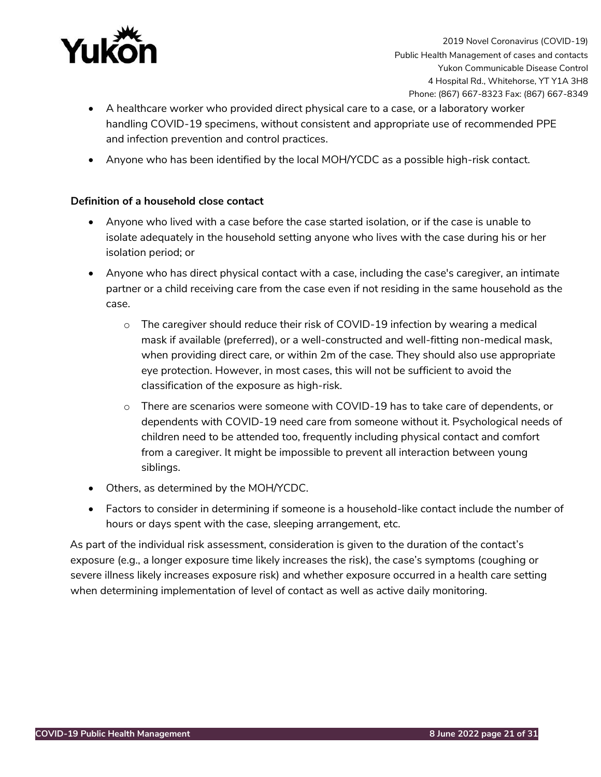

- A healthcare worker who provided direct physical care to a case, or a laboratory worker handling COVID-19 specimens, without consistent and appropriate use of recommended PPE and infection prevention and control practices.
- Anyone who has been identified by the local MOH/YCDC as a possible high-risk contact.

## **Definition of a household close contact**

- Anyone who lived with a case before the case started isolation, or if the case is unable to isolate adequately in the household setting anyone who lives with the case during his or her isolation period; or
- Anyone who has direct physical contact with a case, including the case's caregiver, an intimate partner or a child receiving care from the case even if not residing in the same household as the case.
	- $\circ$  The caregiver should reduce their risk of COVID-19 infection by wearing a medical mask if available (preferred), or a well-constructed and well-fitting non-medical mask, when providing direct care, or within 2m of the case. They should also use appropriate eye protection. However, in most cases, this will not be sufficient to avoid the classification of the exposure as high-risk.
	- $\circ$  There are scenarios were someone with COVID-19 has to take care of dependents, or dependents with COVID-19 need care from someone without it. Psychological needs of children need to be attended too, frequently including physical contact and comfort from a caregiver. It might be impossible to prevent all interaction between young siblings.
- Others, as determined by the MOH/YCDC.
- Factors to consider in determining if someone is a household-like contact include the number of hours or days spent with the case, sleeping arrangement, etc.

As part of the individual risk assessment, consideration is given to the duration of the contact's exposure (e.g., a longer exposure time likely increases the risk), the case's symptoms (coughing or severe illness likely increases exposure risk) and whether exposure occurred in a health care setting when determining implementation of level of contact as well as active daily monitoring.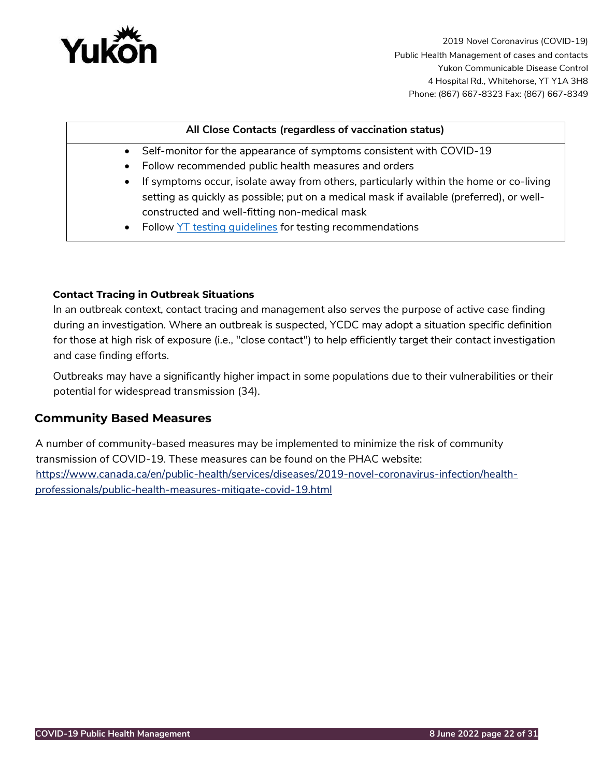

## **All Close Contacts (regardless of vaccination status)**

- Self-monitor for the appearance of symptoms consistent with COVID-19
- Follow recommended public health measures and orders
- If symptoms occur, isolate away from others, particularly within the home or co-living setting as quickly as possible; put on a medical mask if available (preferred), or wellconstructed and well-fitting non-medical mask
- Follow [YT testing guidelines](https://yukon.ca/en/get-covid-19-test#lab-based-pcr-testing) for testing recommendations

#### <span id="page-21-0"></span>**Contact Tracing in Outbreak Situations**

In an outbreak context, contact tracing and management also serves the purpose of active case finding during an investigation. Where an outbreak is suspected, YCDC may adopt a situation specific definition for those at high risk of exposure (i.e., "close contact") to help efficiently target their contact investigation and case finding efforts.

Outbreaks may have a significantly higher impact in some populations due to their vulnerabilities or their potential for widespread transmission (34).

# <span id="page-21-1"></span>**Community Based Measures**

A number of community-based measures may be implemented to minimize the risk of community transmission of COVID-19. These measures can be found on the PHAC website: [https://www.canada.ca/en/public-health/services/diseases/2019-novel-coronavirus-infection/health](https://www.canada.ca/en/public-health/services/diseases/2019-novel-coronavirus-infection/health-professionals/public-health-measures-mitigate-covid-19.html)[professionals/public-health-measures-mitigate-covid-19.html](https://www.canada.ca/en/public-health/services/diseases/2019-novel-coronavirus-infection/health-professionals/public-health-measures-mitigate-covid-19.html)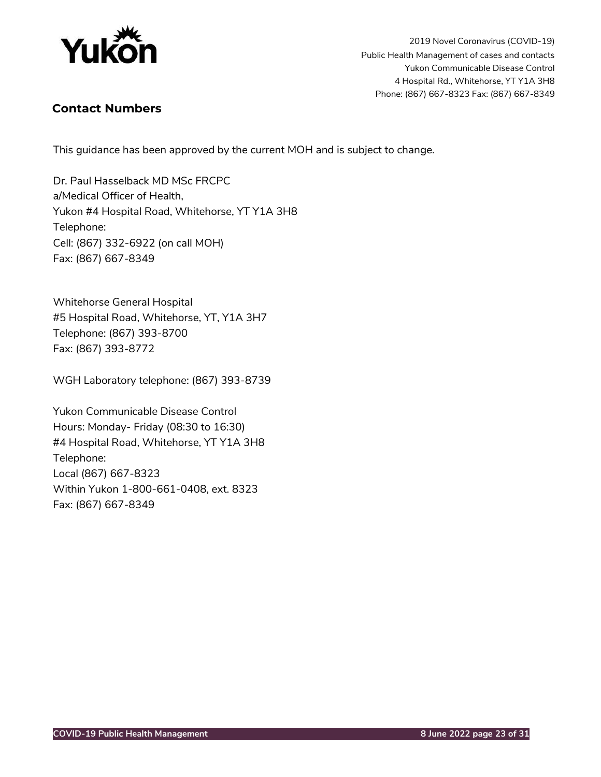

# <span id="page-22-0"></span>**Contact Numbers**

This guidance has been approved by the current MOH and is subject to change.

Dr. Paul Hasselback MD MSc FRCPC a/Medical Officer of Health, Yukon #4 Hospital Road, Whitehorse, YT Y1A 3H8 Telephone: Cell: (867) 332-6922 (on call MOH) Fax: (867) 667-8349

Whitehorse General Hospital #5 Hospital Road, Whitehorse, YT, Y1A 3H7 Telephone: (867) 393-8700 Fax: (867) 393-8772

WGH Laboratory telephone: (867) 393-8739

Yukon Communicable Disease Control Hours: Monday- Friday (08:30 to 16:30) #4 Hospital Road, Whitehorse, YT Y1A 3H8 Telephone: Local (867) 667-8323 Within Yukon 1-800-661-0408, ext. 8323 Fax: (867) 667-8349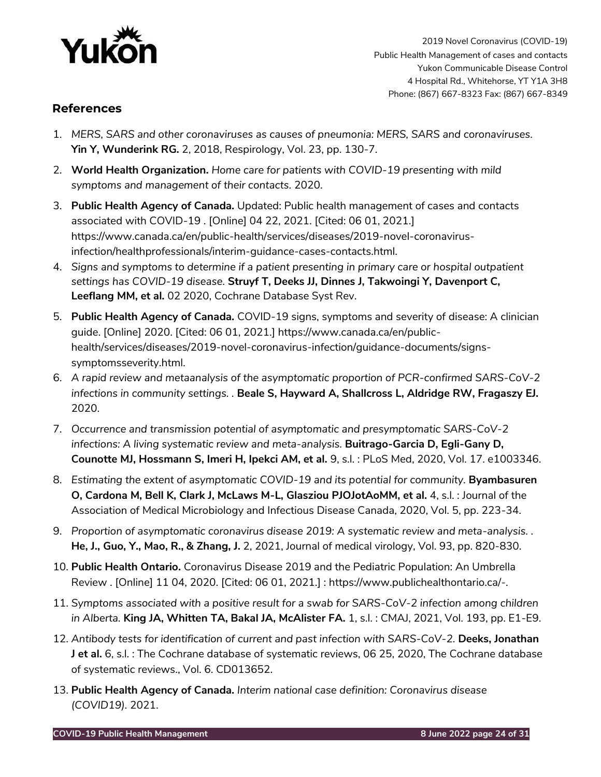

# <span id="page-23-0"></span>**References**

- 1. *MERS, SARS and other coronaviruses as causes of pneumonia: MERS, SARS and coronaviruses.*  **Yin Y, Wunderink RG.** 2, 2018, Respirology, Vol. 23, pp. 130-7.
- 2. **World Health Organization.** *Home care for patients with COVID-19 presenting with mild symptoms and management of their contacts.* 2020.
- 3. **Public Health Agency of Canada.** Updated: Public health management of cases and contacts associated with COVID-19 . [Online] 04 22, 2021. [Cited: 06 01, 2021.] https://www.canada.ca/en/public-health/services/diseases/2019-novel-coronavirusinfection/healthprofessionals/interim-guidance-cases-contacts.html.
- 4. *Signs and symptoms to determine if a patient presenting in primary care or hospital outpatient settings has COVID-19 disease.* **Struyf T, Deeks JJ, Dinnes J, Takwoingi Y, Davenport C, Leeflang MM, et al.** 02 2020, Cochrane Database Syst Rev.
- 5. **Public Health Agency of Canada.** COVID-19 signs, symptoms and severity of disease: A clinician guide. [Online] 2020. [Cited: 06 01, 2021.] https://www.canada.ca/en/publichealth/services/diseases/2019-novel-coronavirus-infection/guidance-documents/signssymptomsseverity.html.
- 6. *A rapid review and metaanalysis of the asymptomatic proportion of PCR-confirmed SARS-CoV-2 infections in community settings. .* **Beale S, Hayward A, Shallcross L, Aldridge RW, Fragaszy EJ.** 2020.
- 7. *Occurrence and transmission potential of asymptomatic and presymptomatic SARS-CoV-2 infections: A living systematic review and meta-analysis. Buitrago-Garcia D, Egli-Gany D,* **Counotte MJ, Hossmann S, Imeri H, Ipekci AM, et al.** 9, s.l. : PLoS Med, 2020, Vol. 17. e1003346.
- 8. Estimating the extent of asymptomatic COVID-19 and its potential for community. Byambasuren **O, Cardona M, Bell K, Clark J, McLaws M-L, Glasziou PJOJotAoMM, et al.** 4, s.l. : Journal of the Association of Medical Microbiology and Infectious Disease Canada, 2020, Vol. 5, pp. 223-34.
- 9. *Proportion of asymptomatic coronavirus disease 2019: A systematic review and meta-analysis. .*  **He, J., Guo, Y., Mao, R., & Zhang, J.** 2, 2021, Journal of medical virology, Vol. 93, pp. 820-830.
- 10. **Public Health Ontario.** Coronavirus Disease 2019 and the Pediatric Population: An Umbrella Review . [Online] 11 04, 2020. [Cited: 06 01, 2021.] : https://www.publichealthontario.ca/-.
- 11. *Symptoms associated with a positive result for a swab for SARS-CoV-2 infection among children in Alberta.* **King JA, Whitten TA, Bakal JA, McAlister FA.** 1, s.l. : CMAJ, 2021, Vol. 193, pp. E1-E9.
- 12. *Antibody tests for identification of current and past infection with SARS-CoV-2.* **Deeks, Jonathan J et al.** 6, s.l. : The Cochrane database of systematic reviews, 06 25, 2020, The Cochrane database of systematic reviews., Vol. 6. CD013652.
- 13. **Public Health Agency of Canada.** *Interim national case definition: Coronavirus disease (COVID19).* 2021.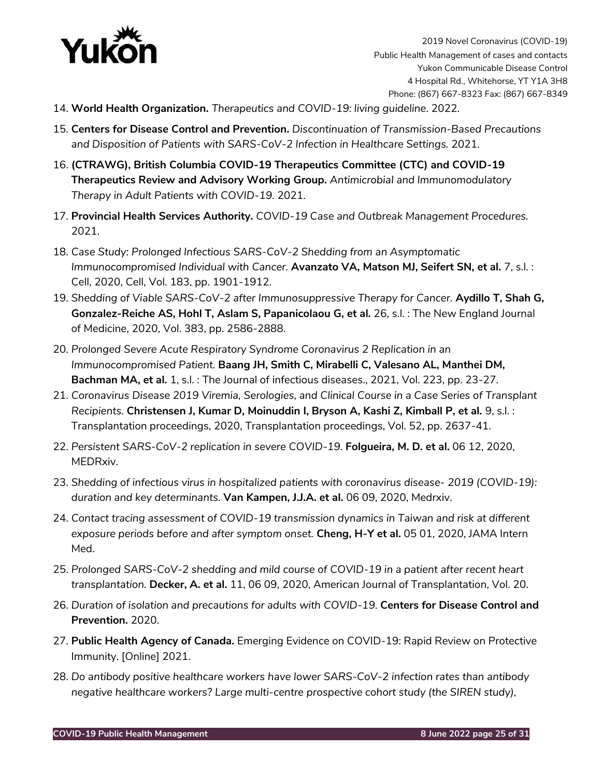

- 14. **World Health Organization.** *Therapeutics and COVID-19: living guideline*. 2022.
- 15. **Centers for Disease Control and Prevention.** *Discontinuation of Transmission-Based Precautions*  and Disposition of Patients with SARS-CoV-2 Infection in Healthcare Settings. 2021.
- 16. **(CTRAWG), British Columbia COVID-19 Therapeutics Committee (CTC) and COVID-19 Therapeutics Review and Advisory Working Group.** *Antimicrobial and Immunomodulatory Therapy in Adult Patients with COVID-19.* 2021.
- 17. **Provincial Health Services Authority.** *COVID-19 Case and Outbreak Management Procedures.*  2021.
- 18. *Case Study: Prolonged Infectious SARS-CoV-2 Shedding from an Asymptomatic Immunocompromised Individual with Cancer.* **Avanzato VA, Matson MJ, Seifert SN, et al.** 7, s.l. : Cell, 2020, Cell, Vol. 183, pp. 1901-1912.
- 19. Shedding of Viable SARS-CoV-2 after Immunosuppressive Therapy for Cancer. **Aydillo T, Shah G, Gonzalez-Reiche AS, Hohl T, Aslam S, Papanicolaou G, et al.** 26, s.l. : The New England Journal of Medicine, 2020, Vol. 383, pp. 2586-2888.
- 20. *Prolonged Severe Acute Respiratory Syndrome Coronavirus 2 Replication in an Immunocompromised Patient.* **Baang JH, Smith C, Mirabelli C, Valesano AL, Manthei DM, Bachman MA, et al.** 1, s.l. : The Journal of infectious diseases., 2021, Vol. 223, pp. 23-27.
- 21. *Coronavirus Disease 2019 Viremia, Serologies, and Clinical Course in a Case Series of Transplant Recipients.* **Christensen J, Kumar D, Moinuddin I, Bryson A, Kashi Z, Kimball P, et al.** 9, s.l. : Transplantation proceedings, 2020, Transplantation proceedings, Vol. 52, pp. 2637-41.
- 22. *Persistent SARS-CoV-2 replication in severe COVID-19.* **Folgueira, M. D. et al.** 06 12, 2020, MEDRxiv.
- 23. *Shedding of infectious virus in hospitalized patients with coronavirus disease- 2019 (COVID-19): duration and key determinants.* **Van Kampen, J.J.A. et al.** 06 09, 2020, Medrxiv.
- 24. *Contact tracing assessment of COVID-19 transmission dynamics in Taiwan and risk at different exposure periods before and after symptom onset.* **Cheng, H-Y et al.** 05 01, 2020, JAMA Intern Med.
- 25. *Prolonged SARS-CoV-2 shedding and mild course of COVID-19 in a patient after recent heart transplantation.* **Decker, A. et al.** 11, 06 09, 2020, American Journal of Transplantation, Vol. 20.
- 26. *Duration of isolation and precautions for adults with COVID-19.* **Centers for Disease Control and Prevention.** 2020.
- 27. **Public Health Agency of Canada.** Emerging Evidence on COVID-19: Rapid Review on Protective Immunity. [Online] 2021.
- 28. *Do antibody positive healthcare workers have lower SARS-CoV-2 infection rates than antibody negative healthcare workers? Large multi-centre prospective cohort study (the SIREN study),*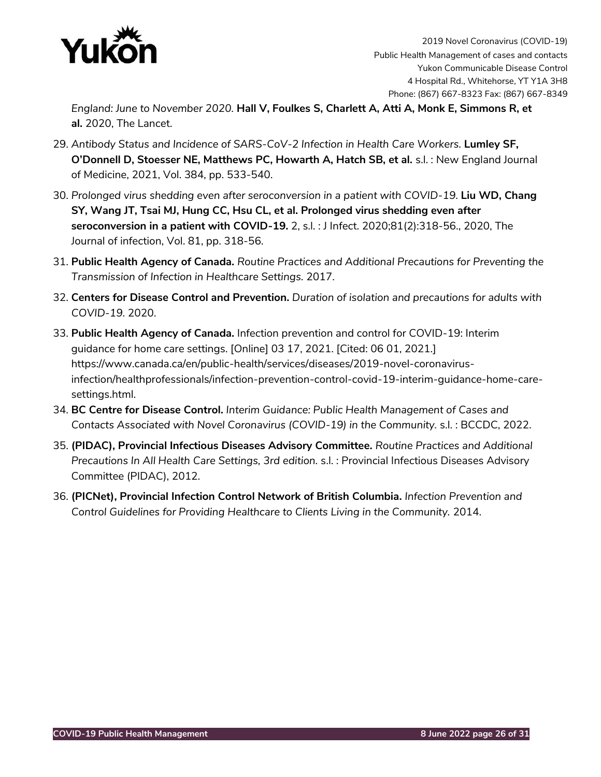

*England: June to November 2020.* **Hall V, Foulkes S, Charlett A, Atti A, Monk E, Simmons R, et al.** 2020, The Lancet.

- 29. *Antibody Status and Incidence of SARS-CoV-2 Infection in Health Care Workers.* **Lumley SF, O'Donnell D, Stoesser NE, Matthews PC, Howarth A, Hatch SB, et al.** s.l. : New England Journal of Medicine, 2021, Vol. 384, pp. 533-540.
- 30. *Prolonged virus shedding even after seroconversion in a patient with COVID-19.* **Liu WD, Chang SY, Wang JT, Tsai MJ, Hung CC, Hsu CL, et al. Prolonged virus shedding even after seroconversion in a patient with COVID-19.** 2, s.l. : J Infect. 2020;81(2):318-56., 2020, The Journal of infection, Vol. 81, pp. 318-56.
- 31. **Public Health Agency of Canada.** *Routine Practices and Additional Precautions for Preventing the Transmission of Infection in Healthcare Settings.* 2017.
- 32. **Centers for Disease Control and Prevention.** *Duration of isolation and precautions for adults with COVID-19.* 2020.
- 33. **Public Health Agency of Canada.** Infection prevention and control for COVID-19: Interim guidance for home care settings. [Online] 03 17, 2021. [Cited: 06 01, 2021.] https://www.canada.ca/en/public-health/services/diseases/2019-novel-coronavirusinfection/healthprofessionals/infection-prevention-control-covid-19-interim-guidance-home-caresettings.html.
- 34. **BC Centre for Disease Control.** *Interim Guidance: Public Health Management of Cases and Contacts Associated with Novel Coronavirus (COVID-19) in the Community.* s.l. : BCCDC, 2022.
- 35. **(PIDAC), Provincial Infectious Diseases Advisory Committee.** *Routine Practices and Additional Precautions In All Health Care Settings, 3rd edition.* s.l. : Provincial Infectious Diseases Advisory Committee (PIDAC), 2012.
- 36. **(PICNet), Provincial Infection Control Network of British Columbia.** *Infection Prevention and Control Guidelines for Providing Healthcare to Clients Living in the Community.* 2014.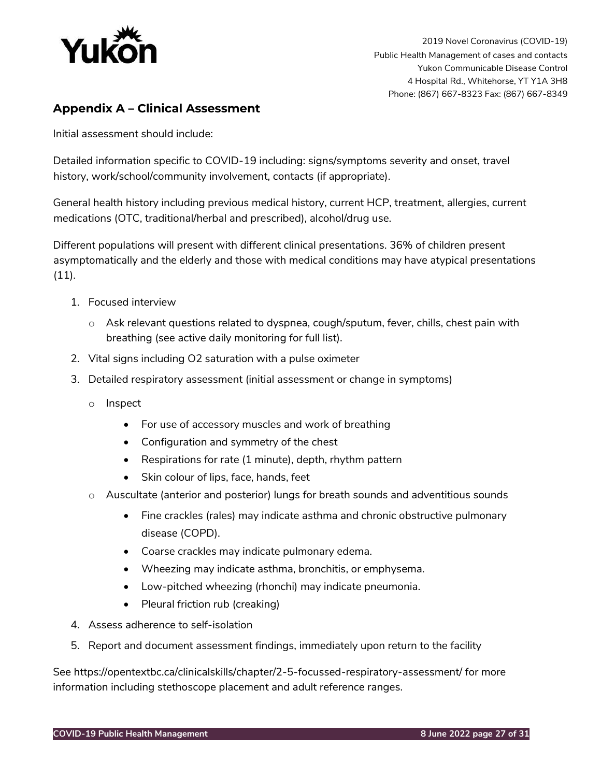

# <span id="page-26-0"></span>**Appendix A – Clinical Assessment**

Initial assessment should include:

Detailed information specific to COVID-19 including: signs/symptoms severity and onset, travel history, work/school/community involvement, contacts (if appropriate).

General health history including previous medical history, current HCP, treatment, allergies, current medications (OTC, traditional/herbal and prescribed), alcohol/drug use.

Different populations will present with different clinical presentations. 36% of children present asymptomatically and the elderly and those with medical conditions may have atypical presentations (11).

- 1. Focused interview
	- o Ask relevant questions related to dyspnea, cough/sputum, fever, chills, chest pain with breathing (see active daily monitoring for full list).
- 2. Vital signs including O2 saturation with a pulse oximeter
- 3. Detailed respiratory assessment (initial assessment or change in symptoms)
	- o Inspect
		- For use of accessory muscles and work of breathing
		- Configuration and symmetry of the chest
		- Respirations for rate (1 minute), depth, rhythm pattern
		- Skin colour of lips, face, hands, feet
	- o Auscultate (anterior and posterior) lungs for breath sounds and adventitious sounds
		- Fine crackles (rales) may indicate asthma and chronic obstructive pulmonary disease (COPD).
		- Coarse crackles may indicate pulmonary edema.
		- Wheezing may indicate asthma, bronchitis, or emphysema.
		- Low-pitched wheezing (rhonchi) may indicate pneumonia.
		- Pleural friction rub (creaking)
- 4. Assess adherence to self-isolation
- <span id="page-26-1"></span>5. Report and document assessment findings, immediately upon return to the facility

See [https://opentextbc.ca/clinicalskills/chapter/2-5-focussed-respiratory-assessment/ f](https://opentextbc.ca/clinicalskills/chapter/2-5-focussed-respiratory-assessment/)or more information including stethoscope placement and adult reference ranges.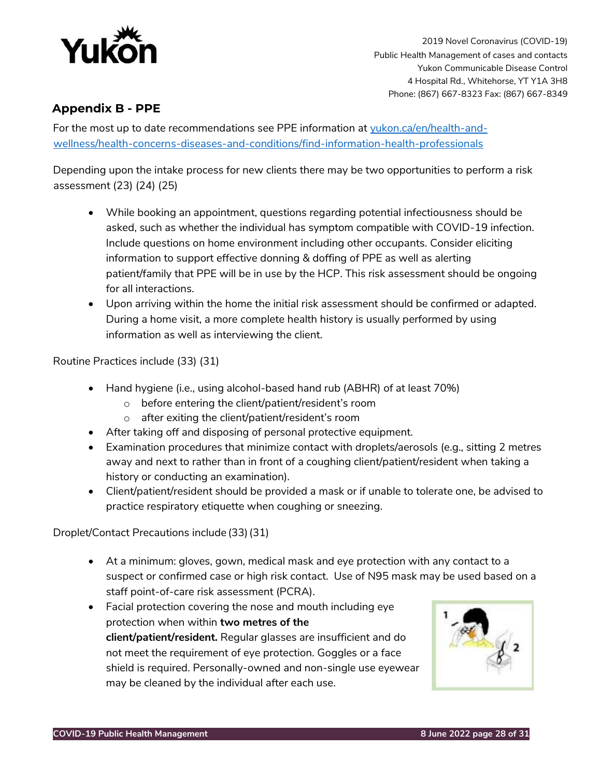

# <span id="page-27-0"></span>**Appendix B - PPE**

For the most up to date recommendations see PPE information at [yukon.ca/en/health-and](https://yukon.ca/en/health-and-wellness/health-concerns-diseases-and-conditions/find-information-health-professionals)[wellness/health-concerns-diseases-and-conditions/find-information-health-professionals](https://yukon.ca/en/health-and-wellness/health-concerns-diseases-and-conditions/find-information-health-professionals)

Depending upon the intake process for new clients there may be two opportunities to perform a risk assessment (23) (24) (25)

- While booking an appointment, questions regarding potential infectiousness should be asked, such as whether the individual has symptom compatible with COVID-19 infection. Include questions on home environment including other occupants. Consider eliciting information to support effective donning & doffing of PPE as well as alerting patient/family that PPE will be in use by the HCP. This risk assessment should be ongoing for all interactions.
- Upon arriving within the home the initial risk assessment should be confirmed or adapted. During a home visit, a more complete health history is usually performed by using information as well as interviewing the client.

Routine Practices include (33) (31)

- Hand hygiene (i.e., using alcohol-based hand rub (ABHR) of at least 70%)
	- o before entering the client/patient/resident's room
	- o after exiting the client/patient/resident's room
- After taking off and disposing of personal protective equipment.
- Examination procedures that minimize contact with droplets/aerosols (e.g., sitting 2 metres away and next to rather than in front of a coughing client/patient/resident when taking a history or conducting an examination).
- Client/patient/resident should be provided a mask or if unable to tolerate one, be advised to practice respiratory etiquette when coughing or sneezing.

Droplet/Contact Precautions include (33)(31)

- At a minimum: gloves, gown, medical mask and eye protection with any contact to a suspect or confirmed case or high risk contact. Use of N95 mask may be used based on a staff point-of-care risk assessment (PCRA).
- Facial protection covering the nose and mouth including eye protection when within **two metres of the client/patient/resident.** Regular glasses are insufficient and do not meet the requirement of eye protection. Goggles or a face shield is required. Personally-owned and non-single use eyewear may be cleaned by the individual after each use.

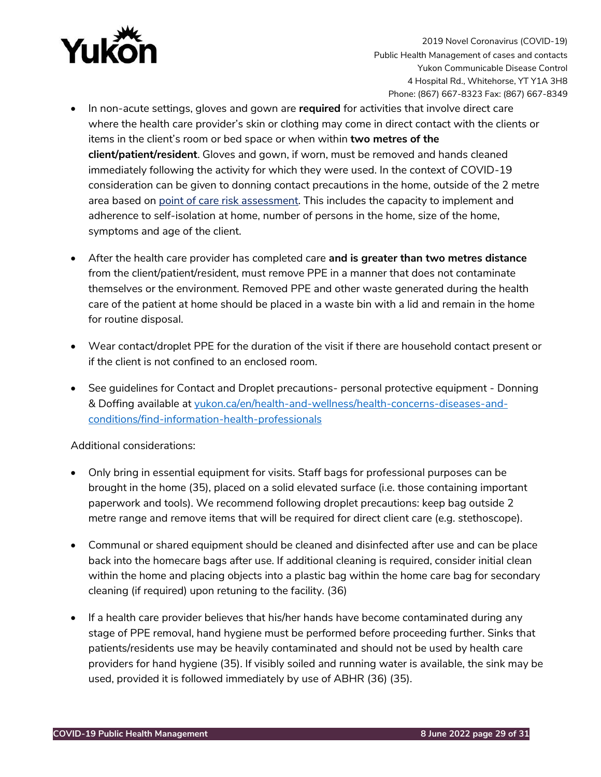

- In non-acute settings, gloves and gown are **required** for activities that involve direct care where the health care provider's skin or clothing may come in direct contact with the clients or items in the client's room or bed space or when within **two metres of the client/patient/resident**. Gloves and gown, if worn, must be removed and hands cleaned immediately following the activity for which they were used. In the context of COVID-19 consideration can be given to donning contact precautions in the home, outside of the 2 metre area based on point of care risk assessment. This includes the capacity to implement and adherence to self-isolation at home, number of persons in the home, size of the home, symptoms and age of the client.
- After the health care provider has completed care **and is greater than two metres distance** from the client/patient/resident, must remove PPE in a manner that does not contaminate themselves or the environment. Removed PPE and other waste generated during the health care of the patient at home should be placed in a waste bin with a lid and remain in the home for routine disposal.
- Wear contact/droplet PPE for the duration of the visit if there are household contact present or if the client is not confined to an enclosed room.
- See guidelines for Contact and Droplet precautions- personal protective equipment Donning & Doffing available at [yukon.ca/en/health-and-wellness/health-concerns-diseases-and](https://yukon.ca/en/health-and-wellness/health-concerns-diseases-and-conditions/find-information-health-professionals)[conditions/find-information-health-professionals](https://yukon.ca/en/health-and-wellness/health-concerns-diseases-and-conditions/find-information-health-professionals)

Additional considerations:

- Only bring in essential equipment for visits. Staff bags for professional purposes can be brought in the home (35), placed on a solid elevated surface (i.e. those containing important paperwork and tools). We recommend following droplet precautions: keep bag outside 2 metre range and remove items that will be required for direct client care (e.g. stethoscope).
- Communal or shared equipment should be cleaned and disinfected after use and can be place back into the homecare bags after use. If additional cleaning is required, consider initial clean within the home and placing objects into a plastic bag within the home care bag for secondary cleaning (if required) upon retuning to the facility. (36)
- If a health care provider believes that his/her hands have become contaminated during any stage of PPE removal, hand hygiene must be performed before proceeding further. Sinks that patients/residents use may be heavily contaminated and should not be used by health care providers for hand hygiene (35). If visibly soiled and running water is available, the sink may be used, provided it is followed immediately by use of ABHR (36) (35).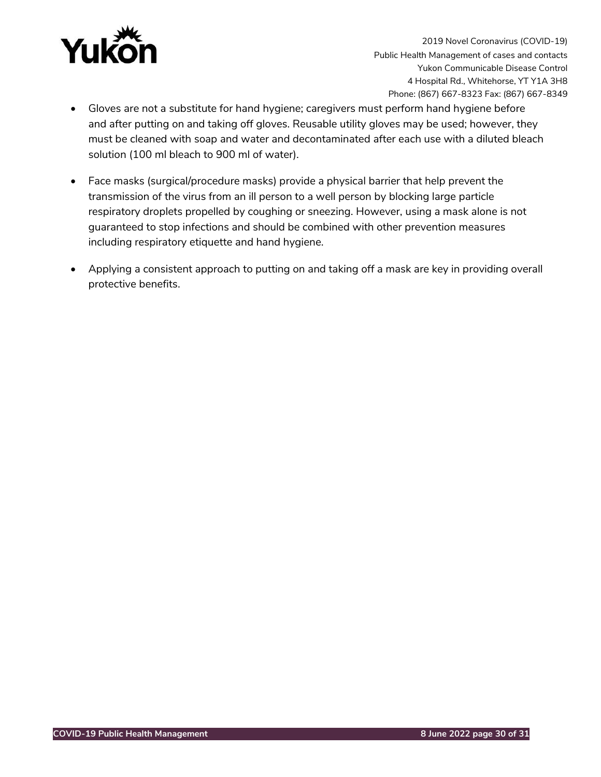

- Gloves are not a substitute for hand hygiene; caregivers must perform hand hygiene before and after putting on and taking off gloves. Reusable utility gloves may be used; however, they must be cleaned with soap and water and decontaminated after each use with a diluted bleach solution (100 ml bleach to 900 ml of water).
- Face masks (surgical/procedure masks) provide a physical barrier that help prevent the transmission of the virus from an ill person to a well person by blocking large particle respiratory droplets propelled by coughing or sneezing. However, using a mask alone is not guaranteed to stop infections and should be combined with other prevention measures including respiratory etiquette and hand hygiene.
- Applying a consistent approach to putting on and taking off a mask are key in providing overall protective benefits.